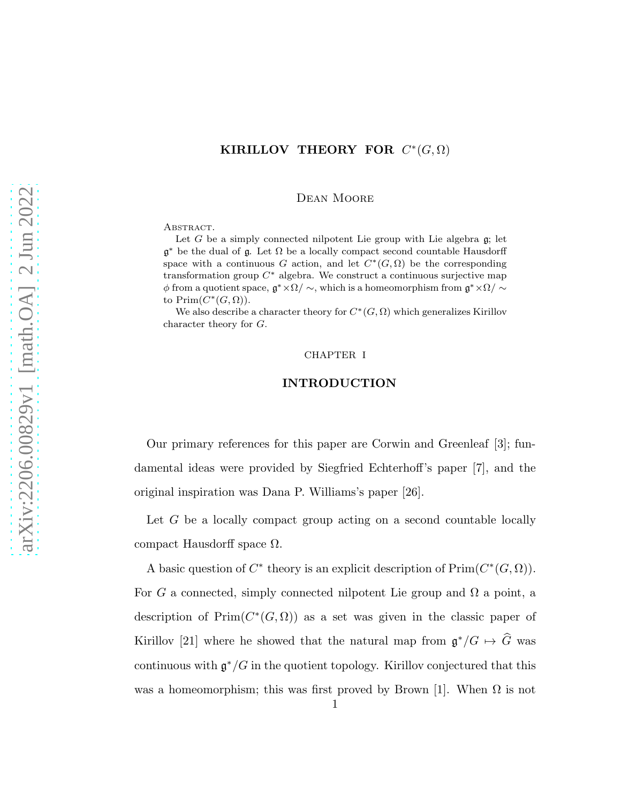# KIRILLOV THEORY FOR  $C^*(G,\Omega)$

Dean Moore

ABSTRACT.

Let  $G$  be a simply connected nilpotent Lie group with Lie algebra  $g$ ; let  $\mathfrak{g}^*$  be the dual of  $\mathfrak{g}$ . Let  $\Omega$  be a locally compact second countable Hausdorff space with a continuous G action, and let  $C^*(G,\Omega)$  be the corresponding transformation group  $C^*$  algebra. We construct a continuous surjective map  $\phi$  from a quotient space,  $\mathfrak{g}^* \times \Omega / \sim$ , which is a homeomorphism from  $\mathfrak{g}^* \times \Omega / \sim$ to  $\text{Prim}(C^*(G,\Omega)).$ 

We also describe a character theory for  $C^*(G, \Omega)$  which generalizes Kirillov character theory for G.

#### CHAPTER I

#### INTRODUCTION

Our primary references for this paper are Corwin and Greenleaf [3]; fundamental ideas were provided by Siegfried Echterhoff's paper [7], and the original inspiration was Dana P. Williams's paper [26].

Let G be a locally compact group acting on a second countable locally compact Hausdorff space  $Ω$ .

A basic question of  $C^*$  theory is an explicit description of  $\text{Prim}(C^*(G,\Omega)).$ For G a connected, simply connected nilpotent Lie group and  $\Omega$  a point, a description of  $Prim(C^*(G, \Omega))$  as a set was given in the classic paper of Kirillov [21] where he showed that the natural map from  $\mathfrak{g}^*/G \mapsto \widehat{G}$  was continuous with  $\mathfrak{g}^*/G$  in the quotient topology. Kirillov conjectured that this was a homeomorphism; this was first proved by Brown [1]. When  $\Omega$  is not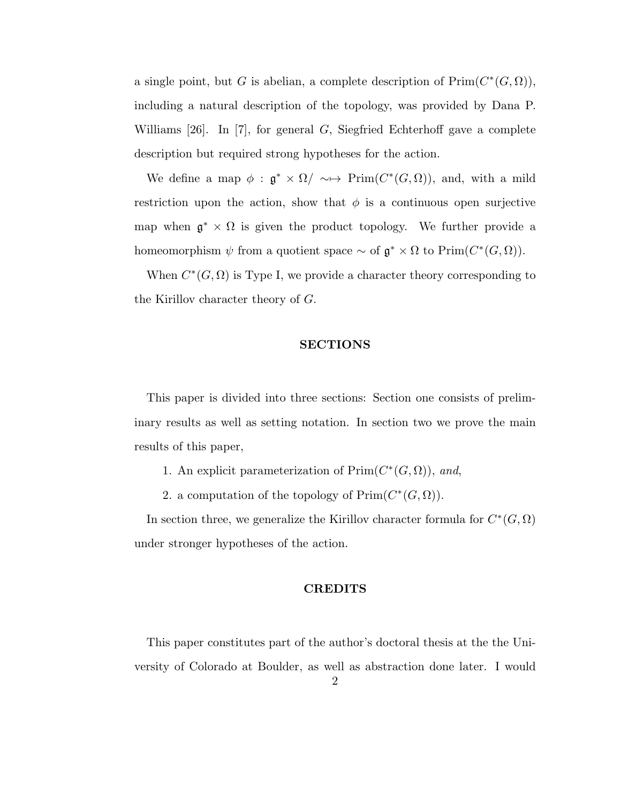a single point, but G is abelian, a complete description of  $\text{Prim}(C^*(G,\Omega)),$ including a natural description of the topology, was provided by Dana P. Williams [26]. In [7], for general  $G$ , Siegfried Echterhoff gave a complete description but required strong hypotheses for the action.

We define a map  $\phi : \mathfrak{g}^* \times \Omega / \sim \rightarrow \mathrm{Prim}(C^*(G,\Omega)),$  and, with a mild restriction upon the action, show that  $\phi$  is a continuous open surjective map when  $\mathfrak{g}^* \times \Omega$  is given the product topology. We further provide a homeomorphism  $\psi$  from a quotient space  $\sim$  of  $\mathfrak{g}^* \times \Omega$  to  $\text{Prim}(C^*(G,\Omega)).$ 

When  $C^*(G, \Omega)$  is Type I, we provide a character theory corresponding to the Kirillov character theory of G.

## SECTIONS

This paper is divided into three sections: Section one consists of preliminary results as well as setting notation. In section two we prove the main results of this paper,

- 1. An explicit parameterization of  $\text{Prim}(C^*(G, \Omega))$ , and,
- 2. a computation of the topology of  $\text{Prim}(C^*(G,\Omega)).$

In section three, we generalize the Kirillov character formula for  $C^*(G,\Omega)$ under stronger hypotheses of the action.

#### CREDITS

This paper constitutes part of the author's doctoral thesis at the the University of Colorado at Boulder, as well as abstraction done later. I would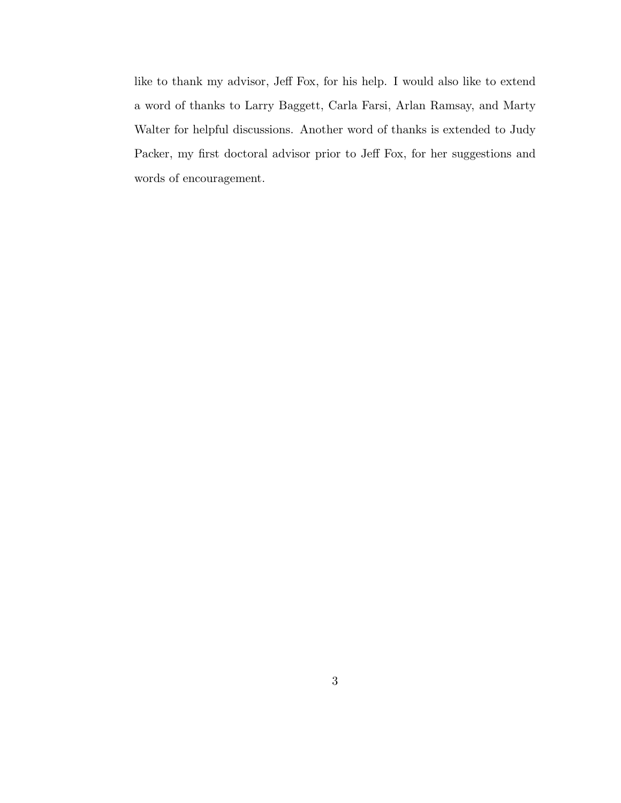like to thank my advisor, Jeff Fox, for his help. I would also like to extend a word of thanks to Larry Baggett, Carla Farsi, Arlan Ramsay, and Marty Walter for helpful discussions. Another word of thanks is extended to Judy Packer, my first doctoral advisor prior to Jeff Fox, for her suggestions and words of encouragement.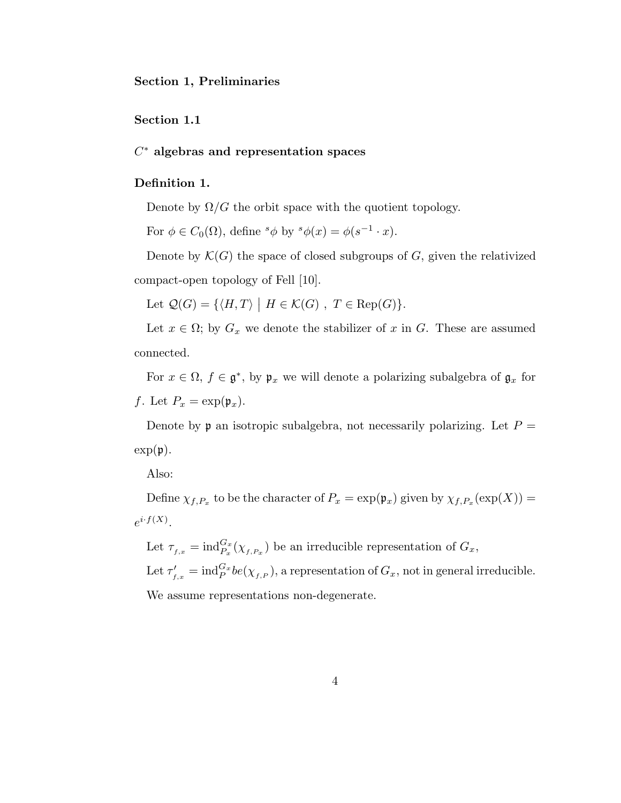Section 1, Preliminaries

Section 1.1

 $C^*$  algebras and representation spaces

## Definition 1.

Denote by  $\Omega/G$  the orbit space with the quotient topology.

For  $\phi \in C_0(\Omega)$ , define  ${}^s\phi$  by  ${}^s\phi(x) = \phi(s^{-1} \cdot x)$ .

Denote by  $\mathcal{K}(G)$  the space of closed subgroups of G, given the relativized compact-open topology of Fell [10].

Let  $\mathcal{Q}(G) = \{ \langle H, T \rangle \mid H \in \mathcal{K}(G) , T \in \text{Rep}(G) \}.$ 

Let  $x \in \Omega$ ; by  $G_x$  we denote the stabilizer of x in G. These are assumed connected.

For  $x \in \Omega$ ,  $f \in \mathfrak{g}^*$ , by  $\mathfrak{p}_x$  we will denote a polarizing subalgebra of  $\mathfrak{g}_x$  for f. Let  $P_x = \exp(\mathfrak{p}_x)$ .

Denote by  $\mathfrak p$  an isotropic subalgebra, not necessarily polarizing. Let  $P =$  $\exp(\mathfrak{p}).$ 

Also:

Define  $\chi_{f,P_x}$  to be the character of  $P_x = \exp(\mathfrak{p}_x)$  given by  $\chi_{f,P_x}(\exp(X)) =$  $e^{i \cdot f(X)}$ .

Let  $\tau_{f,x} = \text{ind}_{P_x}^{G_x}(\chi_{f,P_x})$  be an irreducible representation of  $G_x$ , Let  $\tau'_{f,x} = \text{ind}_{P}^{G_x} be(\chi_{f,P}),$  a representation of  $G_x$ , not in general irreducible. We assume representations non-degenerate.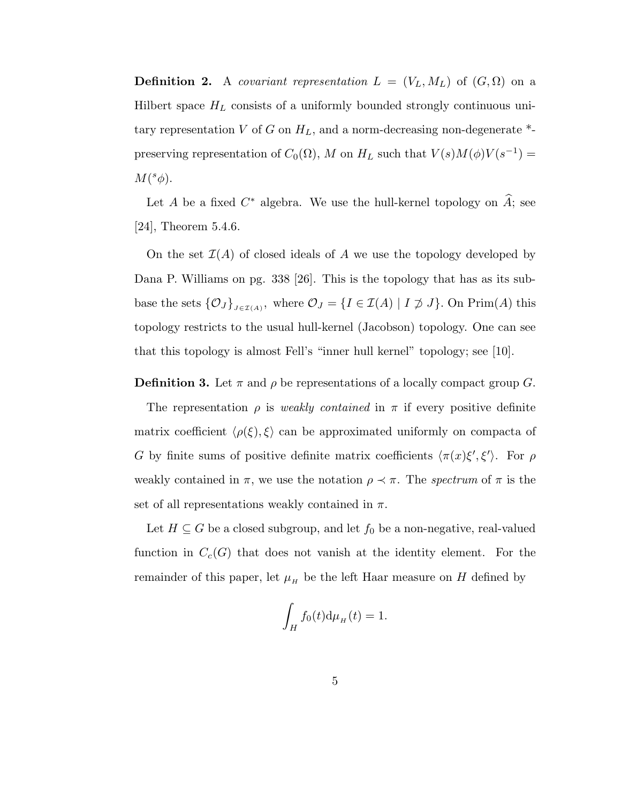**Definition 2.** A covariant representation  $L = (V_L, M_L)$  of  $(G, \Omega)$  on a Hilbert space  $H_L$  consists of a uniformly bounded strongly continuous unitary representation V of G on  $H_L$ , and a norm-decreasing non-degenerate  $*$ preserving representation of  $C_0(\Omega)$ , M on  $H_L$  such that  $V(s)M(\phi)V(s^{-1})=$  $M({}^s\phi).$ 

Let A be a fixed  $C^*$  algebra. We use the hull-kernel topology on  $\hat{A}$ ; see [24], Theorem 5.4.6.

On the set  $\mathcal{I}(A)$  of closed ideals of A we use the topology developed by Dana P. Williams on pg. 338 [26]. This is the topology that has as its subbase the sets  $\{\mathcal{O}_J\}_{J\in\mathcal{I}(A)}$ , where  $\mathcal{O}_J = \{I \in \mathcal{I}(A) \mid I \not\supseteq J\}$ . On Prim(A) this topology restricts to the usual hull-kernel (Jacobson) topology. One can see that this topology is almost Fell's "inner hull kernel" topology; see [10].

**Definition 3.** Let  $\pi$  and  $\rho$  be representations of a locally compact group G.

The representation  $\rho$  is weakly contained in  $\pi$  if every positive definite matrix coefficient  $\langle \rho(\xi), \xi \rangle$  can be approximated uniformly on compacta of G by finite sums of positive definite matrix coefficients  $\langle \pi(x)\xi', \xi' \rangle$ . For  $\rho$ weakly contained in  $\pi$ , we use the notation  $\rho \prec \pi$ . The spectrum of  $\pi$  is the set of all representations weakly contained in  $\pi$ .

Let  $H \subseteq G$  be a closed subgroup, and let  $f_0$  be a non-negative, real-valued function in  $C_c(G)$  that does not vanish at the identity element. For the remainder of this paper, let  $\mu_H$  be the left Haar measure on H defined by

$$
\int_H f_0(t) \mathrm{d}\mu_H(t) = 1.
$$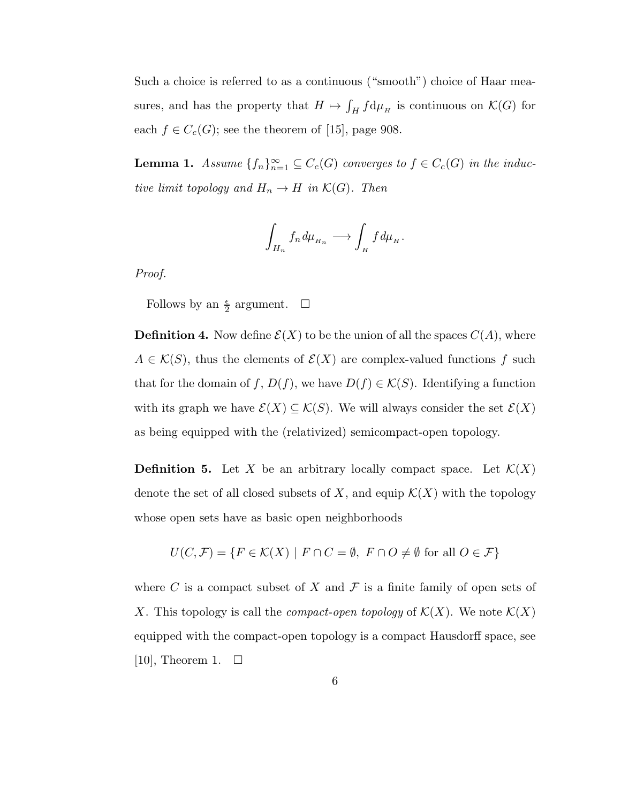Such a choice is referred to as a continuous ("smooth") choice of Haar measures, and has the property that  $H \mapsto \int_H f d\mu_H$  is continuous on  $\mathcal{K}(G)$  for each  $f \in C_c(G)$ ; see the theorem of [15], page 908.

**Lemma 1.** Assume  $\{f_n\}_{n=1}^{\infty} \subseteq C_c(G)$  converges to  $f \in C_c(G)$  in the inductive limit topology and  $H_n \to H$  in  $\mathcal{K}(G)$ . Then

$$
\int_{H_n} f_n d\mu_{H_n} \longrightarrow \int_H f d\mu_H.
$$

Proof.

Follows by an  $\frac{\epsilon}{2}$  argument.  $\Box$ 

**Definition 4.** Now define  $\mathcal{E}(X)$  to be the union of all the spaces  $C(A)$ , where  $A \in \mathcal{K}(S)$ , thus the elements of  $\mathcal{E}(X)$  are complex-valued functions f such that for the domain of f,  $D(f)$ , we have  $D(f) \in \mathcal{K}(S)$ . Identifying a function with its graph we have  $\mathcal{E}(X) \subseteq \mathcal{K}(S)$ . We will always consider the set  $\mathcal{E}(X)$ as being equipped with the (relativized) semicompact-open topology.

**Definition 5.** Let X be an arbitrary locally compact space. Let  $\mathcal{K}(X)$ denote the set of all closed subsets of X, and equip  $\mathcal{K}(X)$  with the topology whose open sets have as basic open neighborhoods

$$
U(C, \mathcal{F}) = \{ F \in \mathcal{K}(X) \mid F \cap C = \emptyset, F \cap O \neq \emptyset \text{ for all } O \in \mathcal{F} \}
$$

where C is a compact subset of X and  $\mathcal F$  is a finite family of open sets of X. This topology is call the *compact-open topology* of  $\mathcal{K}(X)$ . We note  $\mathcal{K}(X)$ equipped with the compact-open topology is a compact Hausdorff space, see [10], Theorem 1.  $\square$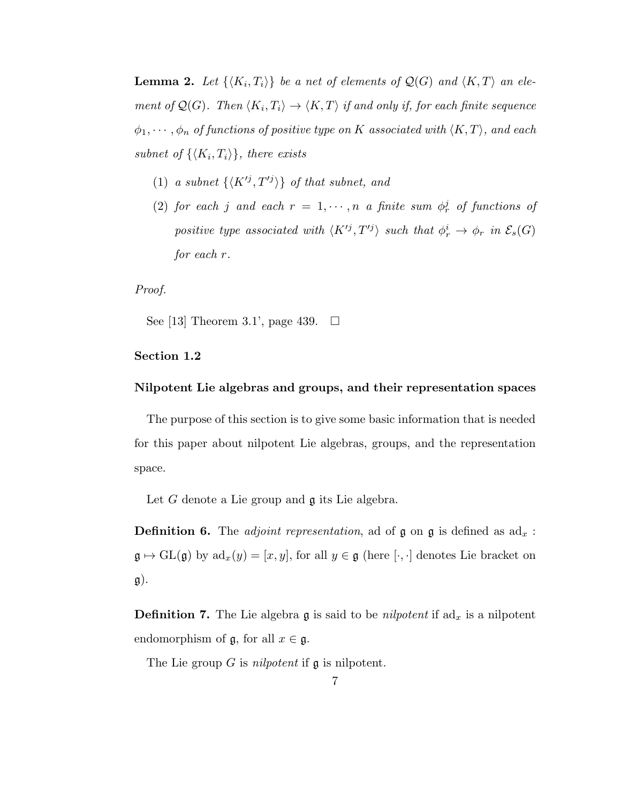**Lemma 2.** Let  $\{\langle K_i, T_i \rangle\}$  be a net of elements of  $\mathcal{Q}(G)$  and  $\langle K, T \rangle$  an element of  $\mathcal{Q}(G)$ . Then  $\langle K_i, T_i \rangle \to \langle K, T \rangle$  if and only if, for each finite sequence  $\phi_1, \cdots, \phi_n$  of functions of positive type on K associated with  $\langle K, T \rangle$ , and each subnet of  $\{K_i, T_i\}$ , there exists

- (1) a subnet  $\{K'^{j}, T'^{j}\}\$  of that subnet, and
- (2) for each j and each  $r = 1, \dots, n$  a finite sum  $\phi_r^j$  of functions of positive type associated with  $\langle K'^{j}, T'^{j} \rangle$  such that  $\phi_r^i \to \phi_r$  in  $\mathcal{E}_s(G)$ for each r.

## Proof.

See [13] Theorem 3.1', page 439.  $\Box$ 

# Section 1.2

## Nilpotent Lie algebras and groups, and their representation spaces

The purpose of this section is to give some basic information that is needed for this paper about nilpotent Lie algebras, groups, and the representation space.

Let G denote a Lie group and  $\mathfrak g$  its Lie algebra.

**Definition 6.** The *adjoint representation*, ad of  $\mathfrak g$  on  $\mathfrak g$  is defined as  $ad_x$ :  $\mathfrak{g} \mapsto \mathrm{GL}(\mathfrak{g})$  by  $\mathrm{ad}_x(y) = [x, y]$ , for all  $y \in \mathfrak{g}$  (here  $[\cdot, \cdot]$  denotes Lie bracket on  $\mathfrak{g}$ ).

**Definition 7.** The Lie algebra  $\mathfrak g$  is said to be *nilpotent* if  $ad_x$  is a nilpotent endomorphism of  $\mathfrak{g}$ , for all  $x \in \mathfrak{g}$ .

The Lie group  $G$  is *nilpotent* if  $\mathfrak g$  is nilpotent.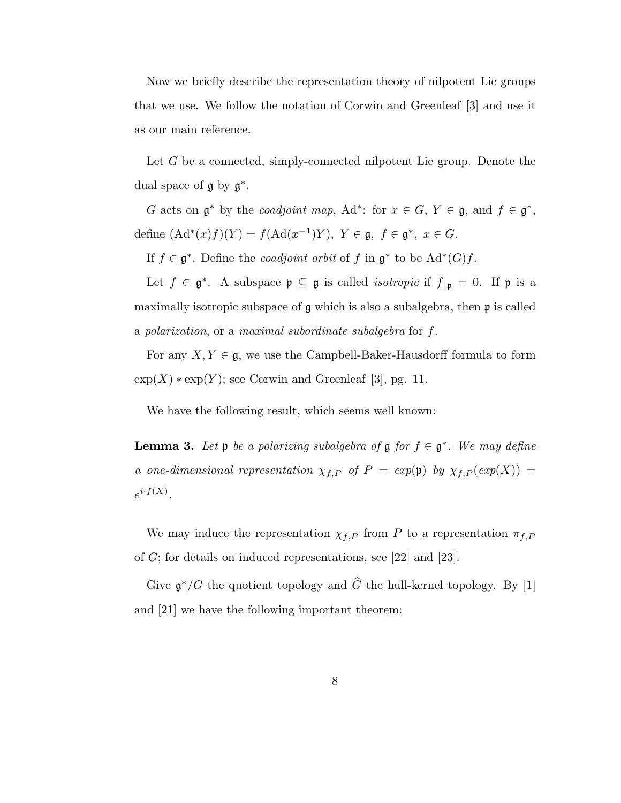Now we briefly describe the representation theory of nilpotent Lie groups that we use. We follow the notation of Corwin and Greenleaf [3] and use it as our main reference.

Let G be a connected, simply-connected nilpotent Lie group. Denote the dual space of  $\mathfrak g$  by  $\mathfrak g^*$ .

G acts on  $\mathfrak{g}^*$  by the *coadjoint map*, Ad<sup>\*</sup>: for  $x \in G$ ,  $Y \in \mathfrak{g}$ , and  $f \in \mathfrak{g}^*$ , define  $(\mathrm{Ad}^*(x)f)(Y) = f(\mathrm{Ad}(x^{-1})Y), Y \in \mathfrak{g}, f \in \mathfrak{g}^*, x \in G.$ 

If  $f \in \mathfrak{g}^*$ . Define the *coadjoint orbit* of f in  $\mathfrak{g}^*$  to be  $\text{Ad}^*(G)f$ .

Let  $f \in \mathfrak{g}^*$ . A subspace  $\mathfrak{p} \subseteq \mathfrak{g}$  is called *isotropic* if  $f|_{\mathfrak{p}} = 0$ . If  $\mathfrak{p}$  is a maximally isotropic subspace of  $\mathfrak g$  which is also a subalgebra, then  $\mathfrak p$  is called a polarization, or a maximal subordinate subalgebra for f.

For any  $X, Y \in \mathfrak{g}$ , we use the Campbell-Baker-Hausdorff formula to form  $\exp(X) * \exp(Y)$ ; see Corwin and Greenleaf [3], pg. 11.

We have the following result, which seems well known:

**Lemma 3.** Let  $\mathfrak{p}$  be a polarizing subalgebra of  $\mathfrak{g}$  for  $f \in \mathfrak{g}^*$ . We may define a one-dimensional representation  $\chi_{f,P}$  of  $P = exp(\mathfrak{p})$  by  $\chi_{f,P}(exp(X)) =$  $e^{i\cdot f(X)}$ .

We may induce the representation  $\chi_{f,P}$  from P to a representation  $\pi_{f,P}$ of G; for details on induced representations, see [22] and [23].

Give  $\mathfrak{g}^*/G$  the quotient topology and  $\widehat{G}$  the hull-kernel topology. By [1] and [21] we have the following important theorem: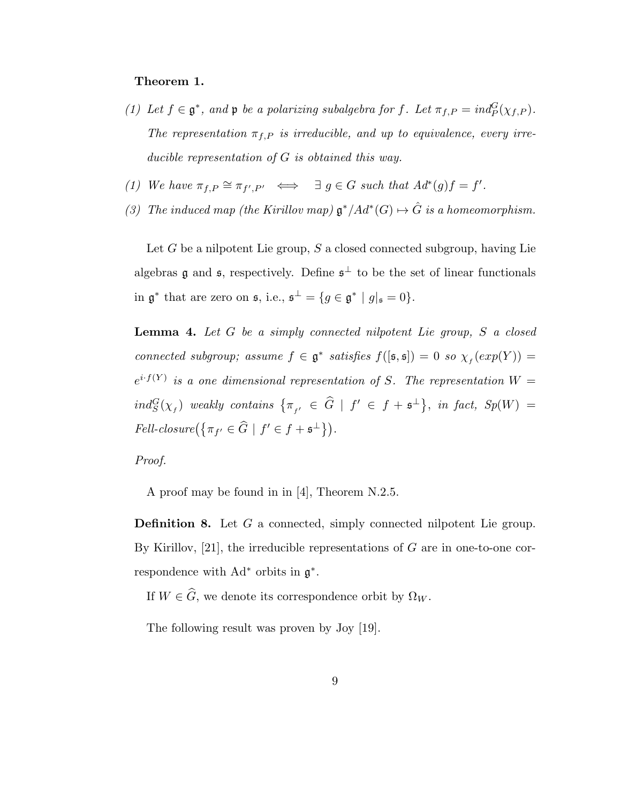## Theorem 1.

- (1) Let  $f \in \mathfrak{g}^*$ , and  $\mathfrak{p}$  be a polarizing subalgebra for f. Let  $\pi_{f,P} = ind_P^G(\chi_{f,P})$ . The representation  $\pi_{f,P}$  is irreducible, and up to equivalence, every irreducible representation of G is obtained this way.
- (1) We have  $\pi_{f,P} \cong \pi_{f',P'} \iff \exists g \in G$  such that  $Ad^*(g)f = f'.$
- (3) The induced map (the Kirillov map)  $\mathfrak{g}^*/Ad^*(G) \mapsto \hat{G}$  is a homeomorphism.

Let  $G$  be a nilpotent Lie group,  $S$  a closed connected subgroup, having Lie algebras **g** and **s**, respectively. Define  $\mathfrak{s}^{\perp}$  to be the set of linear functionals in  $\mathfrak{g}^*$  that are zero on  $\mathfrak{s}$ , i.e.,  $\mathfrak{s}^{\perp} = \{ g \in \mathfrak{g}^* \mid g|_{\mathfrak{s}} = 0 \}.$ 

**Lemma 4.** Let  $G$  be a simply connected nilpotent Lie group,  $S$  a closed connected subgroup; assume  $f \in \mathfrak{g}^*$  satisfies  $f([\mathfrak{s},\mathfrak{s}]) = 0$  so  $\chi_f(\exp(Y)) =$  $e^{i \cdot f(Y)}$  is a one dimensional representation of S. The representation  $W=$  $ind_S^G(\chi_f)$  weakly contains  $\big\{\pi_{_{f'}}\ \in\ \widehat G\ \mid\ f'\ \in\ f+\mathfrak{s}^\perp\big\},\ \ in\ fact,\ Sp(W)\ =$ Fell-closure $(\{\pi_{f'} \in \widehat{G} \mid f' \in f + \mathfrak{s}^{\perp}\}).$ 

Proof.

A proof may be found in in [4], Theorem N.2.5.

Definition 8. Let G a connected, simply connected nilpotent Lie group. By Kirillov,  $[21]$ , the irreducible representations of G are in one-to-one correspondence with  $Ad^*$  orbits in  $\mathfrak{g}^*$ .

If  $W \in \widehat{G}$ , we denote its correspondence orbit by  $\Omega_W$ .

The following result was proven by Joy [19].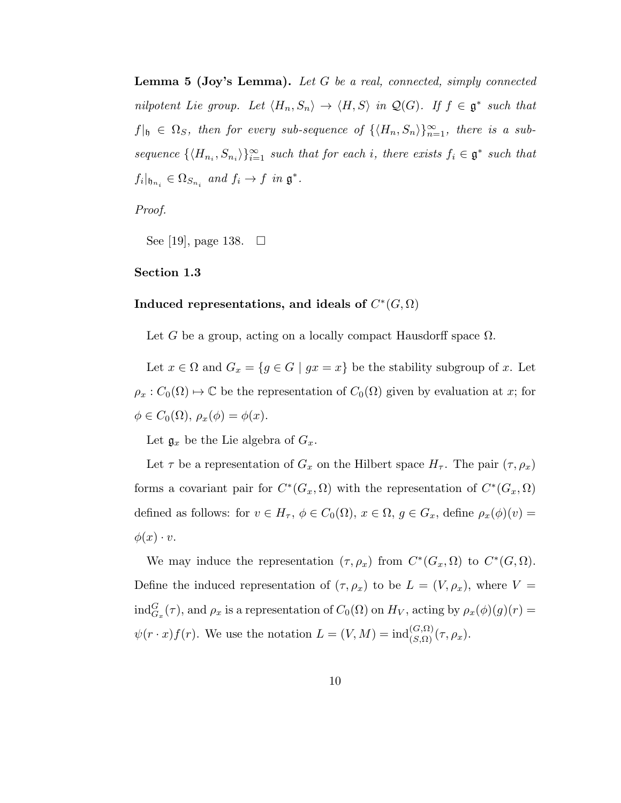**Lemma 5 (Joy's Lemma).** Let G be a real, connected, simply connected nilpotent Lie group. Let  $\langle H_n, S_n \rangle \to \langle H, S \rangle$  in  $\mathcal{Q}(G)$ . If  $f \in \mathfrak{g}^*$  such that  $f|_{\mathfrak{h}} \in \Omega_S$ , then for every sub-sequence of  $\{ \langle H_n, S_n \rangle \}_{n=1}^{\infty}$ , there is a subsequence  $\{\langle H_{n_i}, S_{n_i} \rangle\}_{i=1}^{\infty}$  such that for each i, there exists  $f_i \in \mathfrak{g}^*$  such that  $f_i|_{\mathfrak{h}_{n_i}} \in \Omega_{S_{n_i}}$  and  $f_i \to f$  in  $\mathfrak{g}^*$ .

Proof.

See [19], page 138.  $\Box$ 

Section 1.3

# Induced representations, and ideals of  $C^*(G, \Omega)$

Let G be a group, acting on a locally compact Hausdorff space  $\Omega$ .

Let  $x \in \Omega$  and  $G_x = \{g \in G \mid gx = x\}$  be the stability subgroup of x. Let  $\rho_x : C_0(\Omega) \to \mathbb{C}$  be the representation of  $C_0(\Omega)$  given by evaluation at x; for  $\phi \in C_0(\Omega), \, \rho_x(\phi) = \phi(x).$ 

Let  $\mathfrak{g}_x$  be the Lie algebra of  $G_x$ .

Let  $\tau$  be a representation of  $G_x$  on the Hilbert space  $H_{\tau}$ . The pair  $(\tau, \rho_x)$ forms a covariant pair for  $C^*(G_x, \Omega)$  with the representation of  $C^*(G_x, \Omega)$ defined as follows: for  $v \in H_{\tau}$ ,  $\phi \in C_0(\Omega)$ ,  $x \in \Omega$ ,  $g \in G_x$ , define  $\rho_x(\phi)(v) =$  $\phi(x)\cdot v.$ 

We may induce the representation  $(\tau, \rho_x)$  from  $C^*(G_x, \Omega)$  to  $C^*(G, \Omega)$ . Define the induced representation of  $(\tau, \rho_x)$  to be  $L = (V, \rho_x)$ , where  $V =$  $\text{ind}_{G_x}^G(\tau)$ , and  $\rho_x$  is a representation of  $C_0(\Omega)$  on  $H_V$ , acting by  $\rho_x(\phi)(g)(r) =$  $\psi(r \cdot x) f(r)$ . We use the notation  $L = (V, M) = \text{ind}_{(S, \Omega)}^{(G, \Omega)}(\tau, \rho_x)$ .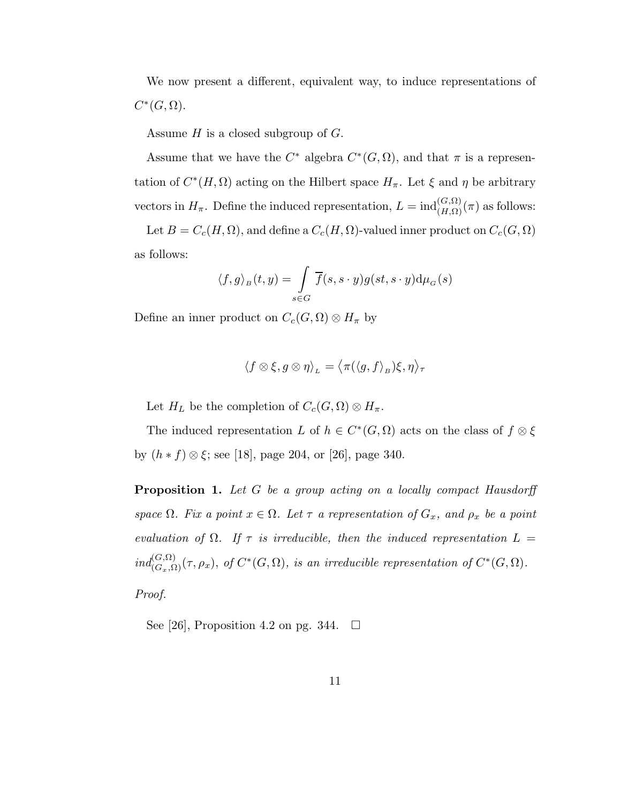We now present a different, equivalent way, to induce representations of  $C^*(G,\Omega).$ 

Assume  $H$  is a closed subgroup of  $G$ .

Assume that we have the  $C^*$  algebra  $C^*(G, \Omega)$ , and that  $\pi$  is a representation of  $C^*(H, \Omega)$  acting on the Hilbert space  $H_{\pi}$ . Let  $\xi$  and  $\eta$  be arbitrary vectors in  $H_{\pi}$ . Define the induced representation,  $L = \text{ind}_{(H,\Omega)}^{(G,\Omega)}(\pi)$  as follows:

Let  $B = C_c(H, \Omega)$ , and define a  $C_c(H, \Omega)$ -valued inner product on  $C_c(G, \Omega)$ as follows:

$$
\langle f, g \rangle_B(t, y) = \int\limits_{s \in G} \overline{f}(s, s \cdot y) g(st, s \cdot y) d\mu_G(s)
$$

Define an inner product on  $C_c(G, \Omega) \otimes H_\pi$  by

$$
\langle f \otimes \xi, g \otimes \eta \rangle_{L} = \langle \pi(\langle g, f \rangle_{B}) \xi, \eta \rangle_{\tau}
$$

Let  $H_L$  be the completion of  $C_c(G, \Omega) \otimes H_{\pi}$ .

The induced representation L of  $h \in C^*(G, \Omega)$  acts on the class of  $f \otimes \xi$ by  $(h * f) \otimes \xi$ ; see [18], page 204, or [26], page 340.

Proposition 1. Let G be a group acting on a locally compact Hausdorff space  $\Omega$ . Fix a point  $x \in \Omega$ . Let  $\tau$  a representation of  $G_x$ , and  $\rho_x$  be a point evaluation of  $\Omega$ . If  $\tau$  is irreducible, then the induced representation  $L =$  $ind_{(G_x,\Omega)}^{(G,\Omega)}(\tau,\rho_x), \text{ of } C^*(G,\Omega), \text{ is an irreducible representation of } C^*(G,\Omega).$ 

Proof.

See [26], Proposition 4.2 on pg. 344.  $\Box$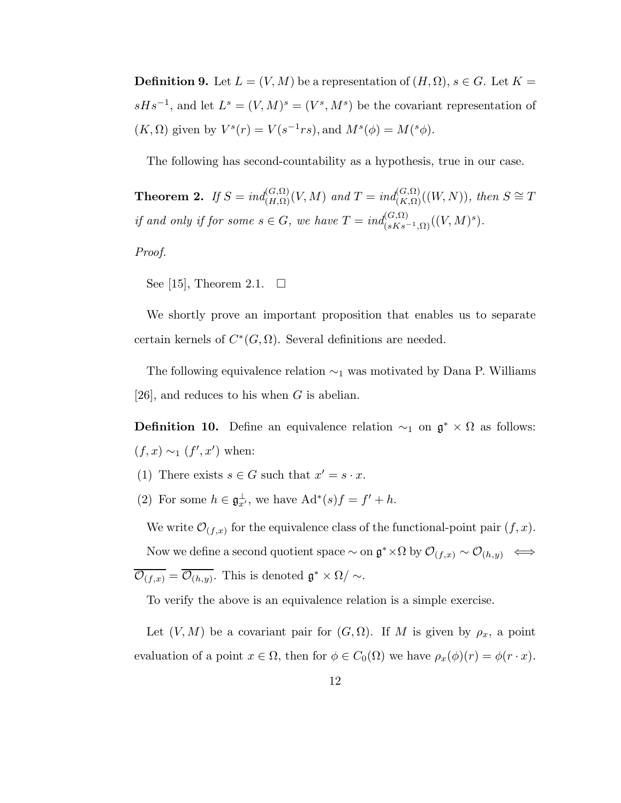**Definition 9.** Let  $L = (V, M)$  be a representation of  $(H, \Omega)$ ,  $s \in G$ . Let  $K =$  $sHs^{-1}$ , and let  $L^s = (V, M)^s = (V^s, M^s)$  be the covariant representation of  $(K, \Omega)$  given by  $V^s(r) = V(s^{-1}rs)$ , and  $M^s(\phi) = M(^s\phi)$ .

The following has second-countability as a hypothesis, true in our case.

**Theorem 2.** If  $S = ind_{(H,\Omega)}^{(G,\Omega)}(V,M)$  and  $T = ind_{(K,\Omega)}^{(G,\Omega)}((W,N)),$  then  $S \cong T$ if and only if for some  $s \in G$ , we have  $T = ind_{(sKs^{-1},\Omega)}^{(G,\Omega)}((V,M)^s)$ .

Proof.

See [15], Theorem 2.1.  $\Box$ 

We shortly prove an important proposition that enables us to separate certain kernels of  $C^*(G, \Omega)$ . Several definitions are needed.

The following equivalence relation  $\sim_1$  was motivated by Dana P. Williams [26], and reduces to his when  $G$  is abelian.

**Definition 10.** Define an equivalence relation  $\sim_1$  on  $\mathfrak{g}^* \times \Omega$  as follows:  $(f, x) \sim_1 (f', x')$  when:

- (1) There exists  $s \in G$  such that  $x' = s \cdot x$ .
- (2) For some  $h \in \mathfrak{g}_{x'}^{\perp}$ , we have  $\mathrm{Ad}^*(s)f = f' + h$ .

We write  $\mathcal{O}_{(f,x)}$  for the equivalence class of the functional-point pair  $(f,x)$ . Now we define a second quotient space  $\sim$  on  $\mathfrak{g}^* \times \Omega$  by  $\mathcal{O}_{(f,x)} \sim \mathcal{O}_{(h,y)} \iff$  $\overline{\mathcal{O}_{(f,x)}} = \overline{\mathcal{O}_{(h,y)}}$ . This is denoted  $\mathfrak{g}^* \times \Omega / \sim$ .

To verify the above is an equivalence relation is a simple exercise.

Let  $(V, M)$  be a covariant pair for  $(G, \Omega)$ . If M is given by  $\rho_x$ , a point evaluation of a point  $x \in \Omega$ , then for  $\phi \in C_0(\Omega)$  we have  $\rho_x(\phi)(r) = \phi(r \cdot x)$ .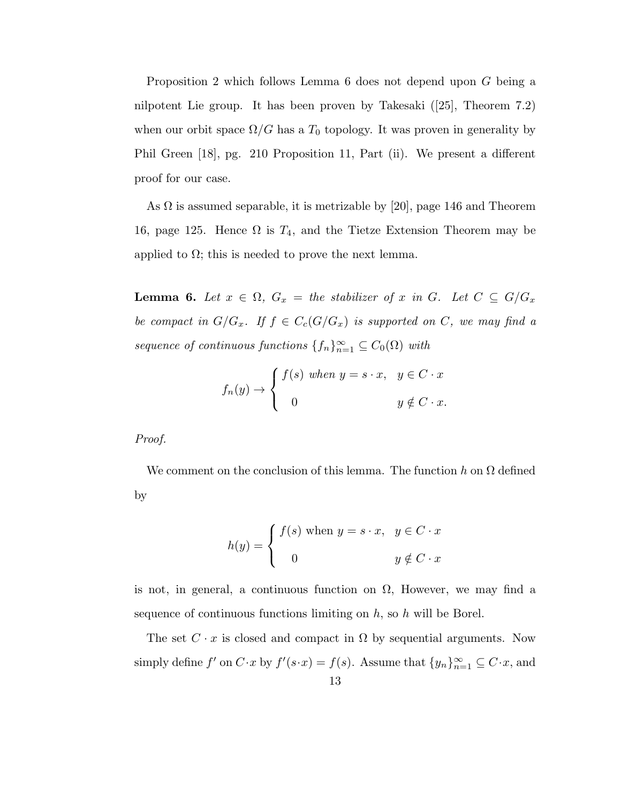Proposition 2 which follows Lemma 6 does not depend upon G being a nilpotent Lie group. It has been proven by Takesaki ([25], Theorem 7.2) when our orbit space  $\Omega/G$  has a  $T_0$  topology. It was proven in generality by Phil Green [18], pg. 210 Proposition 11, Part (ii). We present a different proof for our case.

As  $\Omega$  is assumed separable, it is metrizable by [20], page 146 and Theorem 16, page 125. Hence  $\Omega$  is  $T_4$ , and the Tietze Extension Theorem may be applied to  $\Omega$ ; this is needed to prove the next lemma.

**Lemma 6.** Let  $x \in \Omega$ ,  $G_x =$  the stabilizer of x in G. Let  $C \subseteq G/G_x$ be compact in  $G/G_x$ . If  $f \in C_c(G/G_x)$  is supported on C, we may find a sequence of continuous functions  $\{f_n\}_{n=1}^{\infty} \subseteq C_0(\Omega)$  with

$$
f_n(y) \to \begin{cases} f(s) \text{ when } y = s \cdot x, & y \in C \cdot x \\ 0 & y \notin C \cdot x. \end{cases}
$$

Proof.

We comment on the conclusion of this lemma. The function h on  $\Omega$  defined by

$$
h(y) = \begin{cases} f(s) \text{ when } y = s \cdot x, & y \in C \cdot x \\ 0 & y \notin C \cdot x \end{cases}
$$

is not, in general, a continuous function on  $\Omega$ , However, we may find a sequence of continuous functions limiting on  $h$ , so  $h$  will be Borel.

The set  $C \cdot x$  is closed and compact in  $\Omega$  by sequential arguments. Now simply define  $f'$  on  $C \cdot x$  by  $f'(s \cdot x) = f(s)$ . Assume that  $\{y_n\}_{n=1}^{\infty} \subseteq C \cdot x$ , and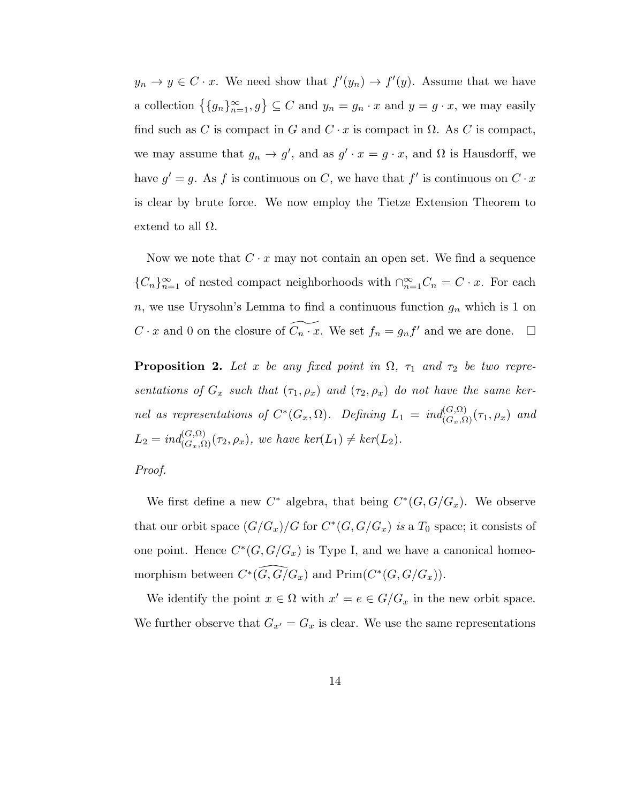$y_n \to y \in C \cdot x$ . We need show that  $f'(y_n) \to f'(y)$ . Assume that we have a collection  $\{ \{g_n\}_{n=1}^{\infty}, g \} \subseteq C$  and  $y_n = g_n \cdot x$  and  $y = g \cdot x$ , we may easily find such as C is compact in G and  $C \cdot x$  is compact in  $\Omega$ . As C is compact, we may assume that  $g_n \to g'$ , and as  $g' \cdot x = g \cdot x$ , and  $\Omega$  is Hausdorff, we have  $g' = g$ . As f is continuous on C, we have that f' is continuous on  $C \cdot x$ is clear by brute force. We now employ the Tietze Extension Theorem to extend to all  $\Omega$ .

Now we note that  $C \cdot x$  may not contain an open set. We find a sequence  ${C_n}_{n=1}^{\infty}$  of nested compact neighborhoods with  $\cap_{n=1}^{\infty} C_n = C \cdot x$ . For each n, we use Urysohn's Lemma to find a continuous function  $g_n$  which is 1 on  $C \cdot x$  and 0 on the closure of  $\widetilde{C_n \cdot x}$ . We set  $f_n = g_n f'$  and we are done.  $\Box$ 

**Proposition 2.** Let x be any fixed point in  $\Omega$ ,  $\tau_1$  and  $\tau_2$  be two representations of  $G_x$  such that  $(\tau_1, \rho_x)$  and  $(\tau_2, \rho_x)$  do not have the same kernel as representations of  $C^*(G_x, \Omega)$ . Defining  $L_1 = ind_{(G_x, \Omega)}^{(G, \Omega)}(\tau_1, \rho_x)$  and  $L_2 = \text{ind}_{(G_x, \Omega)}^{(G, \Omega)}(\tau_2, \rho_x),$  we have  $\text{ker}(L_1) \neq \text{ker}(L_2)$ .

## Proof.

We first define a new  $C^*$  algebra, that being  $C^*(G, G/G_x)$ . We observe that our orbit space  $(G/G_x)/G$  for  $C^*(G, G/G_x)$  is a  $T_0$  space; it consists of one point. Hence  $C^*(G, G/G_x)$  is Type I, and we have a canonical homeomorphism between  $C^*(\widehat{G, G/G_x})$  and  $\text{Prim}(C^*(G, G/G_x)).$ 

We identify the point  $x \in \Omega$  with  $x' = e \in G/G_x$  in the new orbit space. We further observe that  $G_{x'} = G_x$  is clear. We use the same representations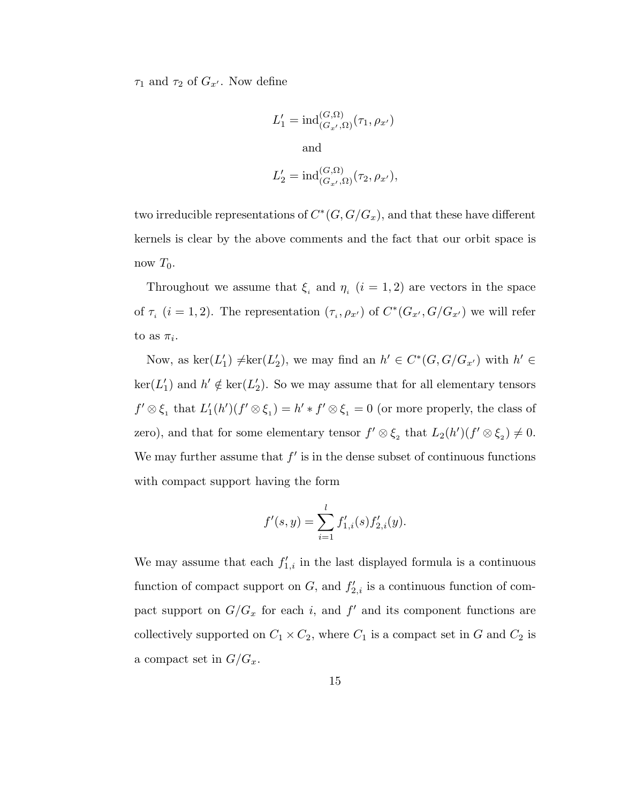$\tau_1$  and  $\tau_2$  of  $G_{x'}$ . Now define

$$
L'_1 = \text{ind}_{(G_{x'},\Omega)}^{(G,\Omega)}(\tau_1, \rho_{x'})
$$
  
and  

$$
L'_2 = \text{ind}_{(G_{x'},\Omega)}^{(G,\Omega)}(\tau_2, \rho_{x'}),
$$

two irreducible representations of  $C^*(G, G/G_x)$ , and that these have different kernels is clear by the above comments and the fact that our orbit space is now  $T_0$ .

Throughout we assume that  $\xi_i$  and  $\eta_i$   $(i = 1, 2)$  are vectors in the space of  $\tau_i$  (*i* = 1, 2). The representation  $(\tau_i, \rho_{x'})$  of  $C^*(G_{x'}, G/G_{x'})$  we will refer to as  $\pi_i$ .

Now, as  $\ker(L'_1) \neq \ker(L'_2)$ , we may find an  $h' \in C^*(G, G/G_{x'})$  with  $h' \in$  $\ker(L'_1)$  and  $h' \notin \ker(L'_2)$ . So we may assume that for all elementary tensors  $f' \otimes \xi_1$  that  $L'_1(h')(f' \otimes \xi_1) = h' * f' \otimes \xi_1 = 0$  (or more properly, the class of zero), and that for some elementary tensor  $f' \otimes \xi_2$  that  $L_2(h')(f' \otimes \xi_2) \neq 0$ . We may further assume that  $f'$  is in the dense subset of continuous functions with compact support having the form

$$
f'(s,y) = \sum_{i=1}^{l} f'_{1,i}(s) f'_{2,i}(y).
$$

We may assume that each  $f'_{1,i}$  in the last displayed formula is a continuous function of compact support on  $G$ , and  $f'_{2,i}$  is a continuous function of compact support on  $G/G_x$  for each i, and  $f'$  and its component functions are collectively supported on  $C_1 \times C_2$ , where  $C_1$  is a compact set in G and  $C_2$  is a compact set in  $G/G_x$ .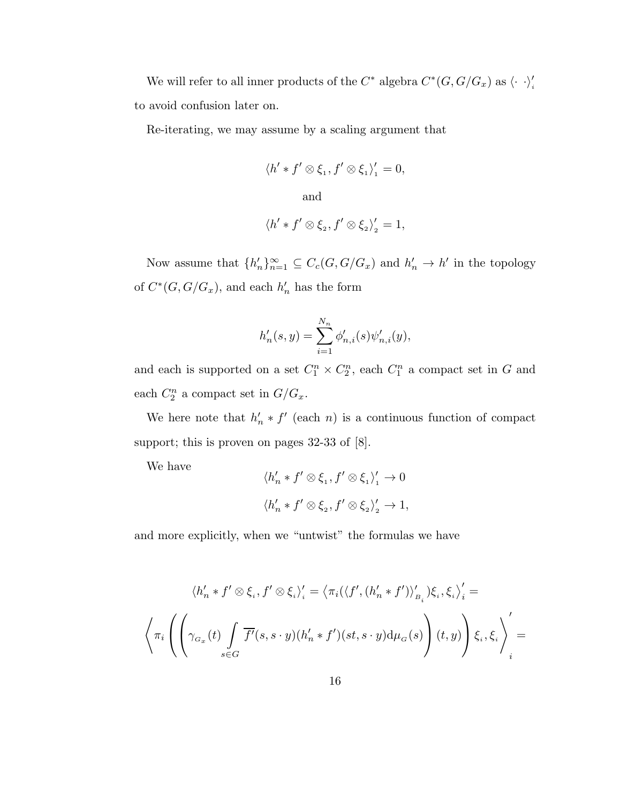We will refer to all inner products of the  $C^*$  algebra  $C^*(G, G/G_x)$  as  $\langle \cdot \rangle_i'$ to avoid confusion later on.

Re-iterating, we may assume by a scaling argument that

$$
\langle h' * f' \otimes \xi_1, f' \otimes \xi_1 \rangle_1' = 0,
$$
  
and  

$$
\langle h' * f' \otimes \xi_2, f' \otimes \xi_2 \rangle_2' = 1,
$$

Now assume that  $\{h'_n\}_{n=1}^{\infty} \subseteq C_c(G, G/G_x)$  and  $h'_n \to h'$  in the topology of  $C^*(G, G/G_x)$ , and each  $h'_n$  has the form

$$
h'_n(s, y) = \sum_{i=1}^{N_n} \phi'_{n,i}(s) \psi'_{n,i}(y),
$$

and each is supported on a set  $C_1^n \times C_2^n$ , each  $C_1^n$  a compact set in G and each  $C_2^n$  a compact set in  $G/G_x$ .

We here note that  $h'_n * f'$  (each n) is a continuous function of compact support; this is proven on pages 32-33 of [8].

We have

$$
\langle h'_n * f' \otimes \xi_1, f' \otimes \xi_1 \rangle'_1 \to 0
$$
  

$$
\langle h'_n * f' \otimes \xi_2, f' \otimes \xi_2 \rangle'_2 \to 1,
$$

and more explicitly, when we "untwist" the formulas we have

$$
\langle h'_n * f' \otimes \xi_i, f' \otimes \xi_i \rangle_i' = \langle \pi_i(\langle f', (h'_n * f') \rangle_{B_i}') \xi_i, \xi_i \rangle_i' =
$$
  

$$
\langle \pi_i \left( \left( \gamma_{G_x}(t) \int \limits_{s \in G} \overline{f'}(s, s \cdot y) (h'_n * f')(st, s \cdot y) d\mu_G(s) \right) (t, y) \right) \xi_i, \xi_i \rangle_i' =
$$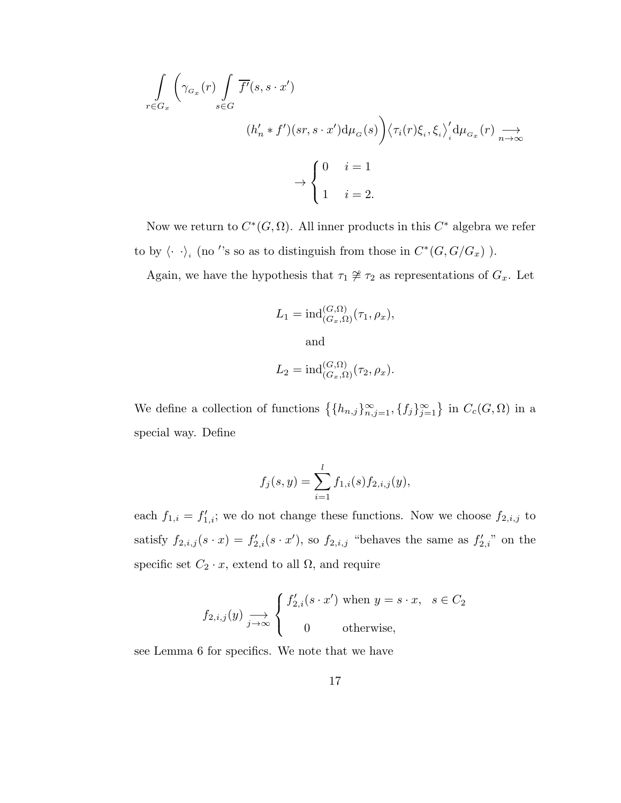$$
\int_{r \in G_x} \left( \gamma_{G_x}(r) \int_{s \in G} \overline{f'}(s, s \cdot x') \right. \\
(h'_n * f')(sr, s \cdot x') d\mu_G(s) \Big) \langle \tau_i(r) \xi_i, \xi_i \rangle'_i d\mu_{G_x}(r) \underset{n \to \infty}{\longrightarrow} \\
\to \begin{cases} 0 & i = 1 \\ 1 & i = 2. \end{cases}
$$

Now we return to  $C^*(G, \Omega)$ . All inner products in this  $C^*$  algebra we refer to by  $\langle \cdot \cdot \rangle_i$  (no ''s so as to distinguish from those in  $C^*(G, G/G_x)$ ).

Again, we have the hypothesis that  $\tau_1 \not\cong \tau_2$  as representations of  $G_x$ . Let

$$
L_1 = \mathrm{ind}_{(G_x, \Omega)}^{(G, \Omega)}(\tau_1, \rho_x),
$$

and

$$
L_2 = \mathrm{ind}_{(G_x, \Omega)}^{(G, \Omega)}(\tau_2, \rho_x).
$$

We define a collection of functions  $\{h_{n,j}\}_{n,j=1}^{\infty}, \{f_j\}_{j=1}^{\infty}\}$  in  $C_c(G,\Omega)$  in a special way. Define

$$
f_j(s,y) = \sum_{i=1}^l f_{1,i}(s) f_{2,i,j}(y),
$$

each  $f_{1,i} = f'_{1,i}$ ; we do not change these functions. Now we choose  $f_{2,i,j}$  to satisfy  $f_{2,i,j}(s \cdot x) = f'_{2,i}(s \cdot x')$ , so  $f_{2,i,j}$  "behaves the same as  $f'_{2,i}$ " on the specific set  $C_2 \cdot x$ , extend to all  $\Omega$ , and require

$$
f_{2,i,j}(y) \xrightarrow[j \to \infty]{}
$$

$$
\begin{cases} f'_{2,i}(s \cdot x') \text{ when } y = s \cdot x, & s \in C_2 \\ 0 & \text{otherwise,} \end{cases}
$$

see Lemma 6 for specifics. We note that we have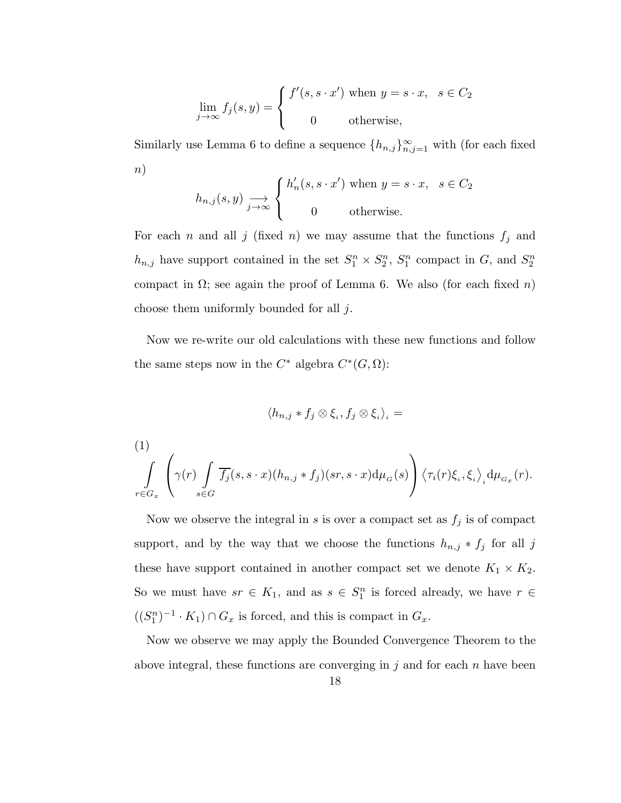$$
\lim_{j \to \infty} f_j(s, y) = \begin{cases} f'(s, s \cdot x') \text{ when } y = s \cdot x, & s \in C_2 \\ 0 & \text{otherwise,} \end{cases}
$$

Similarly use Lemma 6 to define a sequence  $\{h_{n,j}\}_{n,j=1}^{\infty}$  with (for each fixed  $n)$ 

$$
h_{n,j}(s,y) \xrightarrow{j \to \infty} \begin{cases} h'_n(s, s \cdot x') \text{ when } y = s \cdot x, & s \in C_2 \\ 0 & \text{otherwise.} \end{cases}
$$

For each n and all j (fixed n) we may assume that the functions  $f_j$  and  $h_{n,j}$  have support contained in the set  $S_1^n \times S_2^n$ ,  $S_1^n$  compact in G, and  $S_2^n$ compact in  $\Omega$ ; see again the proof of Lemma 6. We also (for each fixed n) choose them uniformly bounded for all j.

Now we re-write our old calculations with these new functions and follow the same steps now in the  $C^*$  algebra  $C^*(G, \Omega)$ :

$$
\langle h_{n,j}*f_j\otimes \xi_i,f_j\otimes \xi_i\rangle_i=
$$

(1)  
\n
$$
\int_{r \in G_x} \left( \gamma(r) \int_{s \in G} \overline{f_j}(s, s \cdot x) (h_{n,j} * f_j)(sr, s \cdot x) d\mu_G(s) \right) \langle \tau_i(r) \xi_i, \xi_i \rangle_i d\mu_{G_x}(r).
$$

Now we observe the integral in s is over a compact set as  $f_j$  is of compact support, and by the way that we choose the functions  $h_{n,j} * f_j$  for all j these have support contained in another compact set we denote  $K_1 \times K_2$ . So we must have  $sr \in K_1$ , and as  $s \in S_1^n$  is forced already, we have  $r \in$  $((S_1^n)^{-1} \cdot K_1) \cap G_x$  is forced, and this is compact in  $G_x$ .

Now we observe we may apply the Bounded Convergence Theorem to the above integral, these functions are converging in  $j$  and for each n have been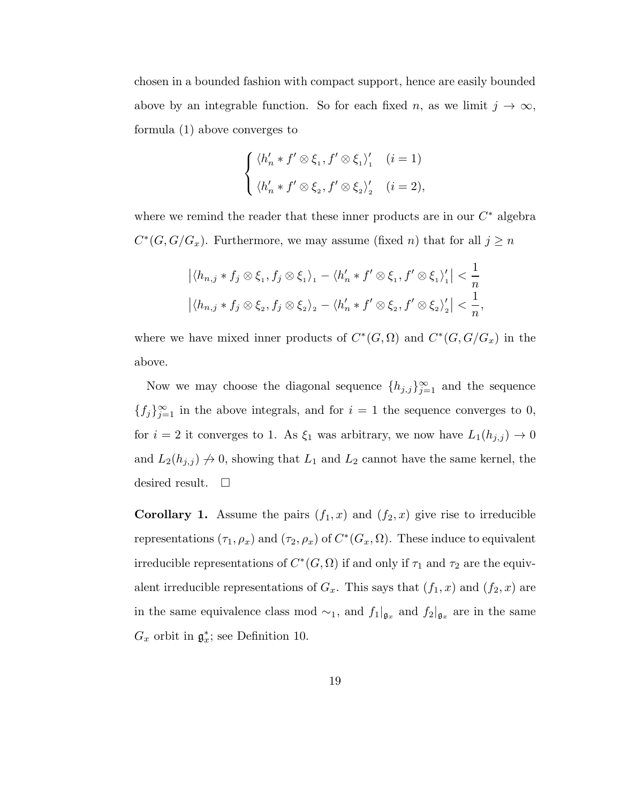chosen in a bounded fashion with compact support, hence are easily bounded above by an integrable function. So for each fixed n, as we limit  $j \to \infty$ , formula (1) above converges to

$$
\begin{cases} \langle h'_n * f' \otimes \xi_1, f' \otimes \xi_1 \rangle'_1 & (i = 1) \\ \langle h'_n * f' \otimes \xi_2, f' \otimes \xi_2 \rangle'_2 & (i = 2), \end{cases}
$$

where we remind the reader that these inner products are in our  $C^*$  algebra  $C^*(G, G/G_x)$ . Furthermore, we may assume (fixed *n*) that for all  $j \geq n$ 

$$
\left| \langle h_{n,j} * f_j \otimes \xi_1, f_j \otimes \xi_1 \rangle_1 - \langle h'_n * f' \otimes \xi_1, f' \otimes \xi_1 \rangle_1' \right| < \frac{1}{n}
$$
  

$$
\left| \langle h_{n,j} * f_j \otimes \xi_2, f_j \otimes \xi_2 \rangle_2 - \langle h'_n * f' \otimes \xi_2, f' \otimes \xi_2 \rangle_2' \right| < \frac{1}{n},
$$

where we have mixed inner products of  $C^*(G, \Omega)$  and  $C^*(G, G/G_x)$  in the above.

Now we may choose the diagonal sequence  ${h_{j,j}}_{j=1}^{\infty}$  and the sequence  ${f_j}_{j=1}^{\infty}$  in the above integrals, and for  $i=1$  the sequence converges to 0, for  $i = 2$  it converges to 1. As  $\xi_1$  was arbitrary, we now have  $L_1(h_{j,j}) \to 0$ and  $L_2(h_{j,j}) \nrightarrow 0$ , showing that  $L_1$  and  $L_2$  cannot have the same kernel, the desired result.  $\square$ 

**Corollary 1.** Assume the pairs  $(f_1, x)$  and  $(f_2, x)$  give rise to irreducible representations  $(\tau_1, \rho_x)$  and  $(\tau_2, \rho_x)$  of  $C^*(G_x, \Omega)$ . These induce to equivalent irreducible representations of  $C^*(G, \Omega)$  if and only if  $\tau_1$  and  $\tau_2$  are the equivalent irreducible representations of  $G_x$ . This says that  $(f_1, x)$  and  $(f_2, x)$  are in the same equivalence class mod  $\sim_1$ , and  $f_1|_{\mathfrak{g}_x}$  and  $f_2|_{\mathfrak{g}_x}$  are in the same  $G_x$  orbit in  $\mathfrak{g}_x^*$ ; see Definition 10.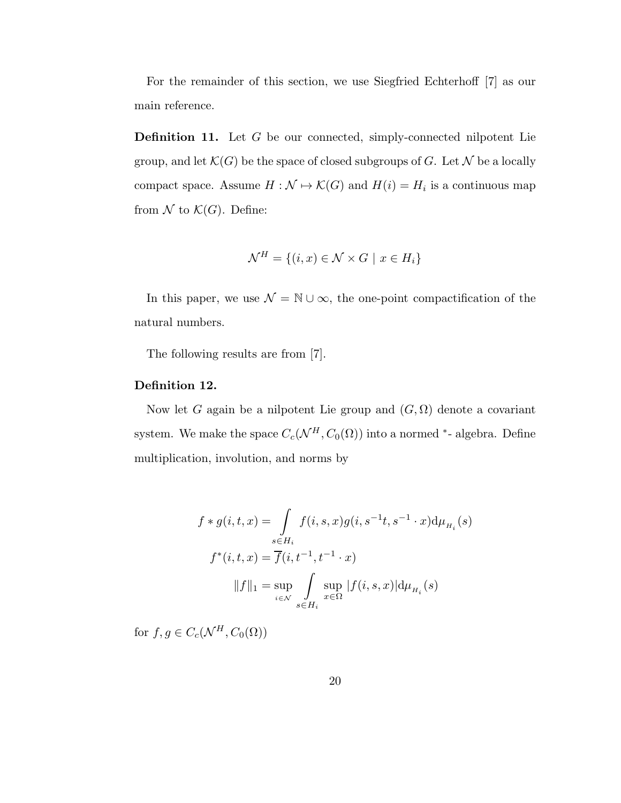For the remainder of this section, we use Siegfried Echterhoff [7] as our main reference.

Definition 11. Let G be our connected, simply-connected nilpotent Lie group, and let  $\mathcal{K}(G)$  be the space of closed subgroups of G. Let N be a locally compact space. Assume  $H : \mathcal{N} \to \mathcal{K}(G)$  and  $H(i) = H_i$  is a continuous map from  $\mathcal N$  to  $\mathcal K(G)$ . Define:

$$
\mathcal{N}^H = \{(i, x) \in \mathcal{N} \times G \mid x \in H_i\}
$$

In this paper, we use  $\mathcal{N} = \mathbb{N} \cup \infty$  the one-point compactification of the natural numbers.

The following results are from [7].

## Definition 12.

Now let G again be a nilpotent Lie group and  $(G, \Omega)$  denote a covariant system. We make the space  $C_c(\mathcal{N}^H, C_0(\Omega))$  into a normed <sup>\*</sup>- algebra. Define multiplication, involution, and norms by

$$
f * g(i, t, x) = \int_{s \in H_i} f(i, s, x) g(i, s^{-1}t, s^{-1} \cdot x) d\mu_{H_i}(s)
$$
  

$$
f^*(i, t, x) = \overline{f}(i, t^{-1}, t^{-1} \cdot x)
$$
  

$$
||f||_1 = \sup_{i \in \mathcal{N}} \int_{s \in H_i} \sup_{x \in \Omega} |f(i, s, x)| d\mu_{H_i}(s)
$$

for  $f, g \in C_c(\mathcal{N}^H, C_0(\Omega))$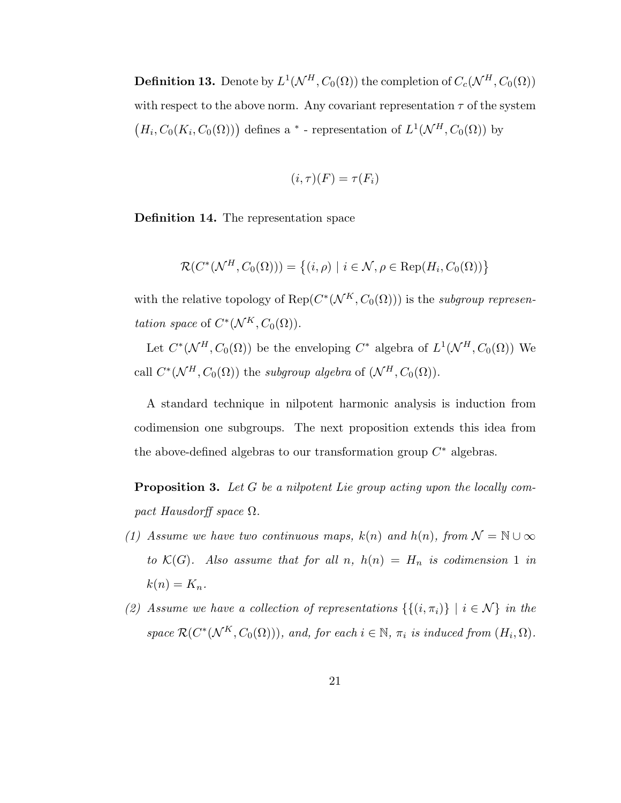**Definition 13.** Denote by  $L^1(\mathcal{N}^H, C_0(\Omega))$  the completion of  $C_c(\mathcal{N}^H, C_0(\Omega))$ with respect to the above norm. Any covariant representation  $\tau$  of the system  $(H_i, C_0(K_i, C_0(\Omega)))$  defines a  $*$  - representation of  $L^1(\mathcal{N}^H, C_0(\Omega))$  by

$$
(i,\tau)(F) = \tau(F_i)
$$

Definition 14. The representation space

$$
\mathcal{R}(C^*(\mathcal{N}^H, C_0(\Omega))) = \left\{ (i, \rho) \mid i \in \mathcal{N}, \rho \in \text{Rep}(H_i, C_0(\Omega)) \right\}
$$

with the relative topology of  $\text{Rep}(C^*(\mathcal{N}^K, C_0(\Omega)))$  is the subgroup representation space of  $C^*(\mathcal{N}^K, C_0(\Omega)).$ 

Let  $C^*(\mathcal{N}^H, C_0(\Omega))$  be the enveloping  $C^*$  algebra of  $L^1(\mathcal{N}^H, C_0(\Omega))$  We call  $C^*(\mathcal{N}^H, C_0(\Omega))$  the subgroup algebra of  $(\mathcal{N}^H, C_0(\Omega))$ .

A standard technique in nilpotent harmonic analysis is induction from codimension one subgroups. The next proposition extends this idea from the above-defined algebras to our transformation group  $C^*$  algebras.

**Proposition 3.** Let G be a nilpotent Lie group acting upon the locally compact Hausdorff space  $\Omega$ .

- (1) Assume we have two continuous maps,  $k(n)$  and  $h(n)$ , from  $\mathcal{N} = \mathbb{N} \cup \infty$ to  $\mathcal{K}(G)$ . Also assume that for all n,  $h(n) = H_n$  is codimension 1 in  $k(n) = K_n$ .
- (2) Assume we have a collection of representations  $\{\{(i, \pi_i)\}\mid i \in \mathcal{N}\}\$ in the space  $\mathcal{R}(C^*(\mathcal{N}^K,C_0(\Omega)))$ , and, for each  $i \in \mathbb{N}$ ,  $\pi_i$  is induced from  $(H_i,\Omega)$ .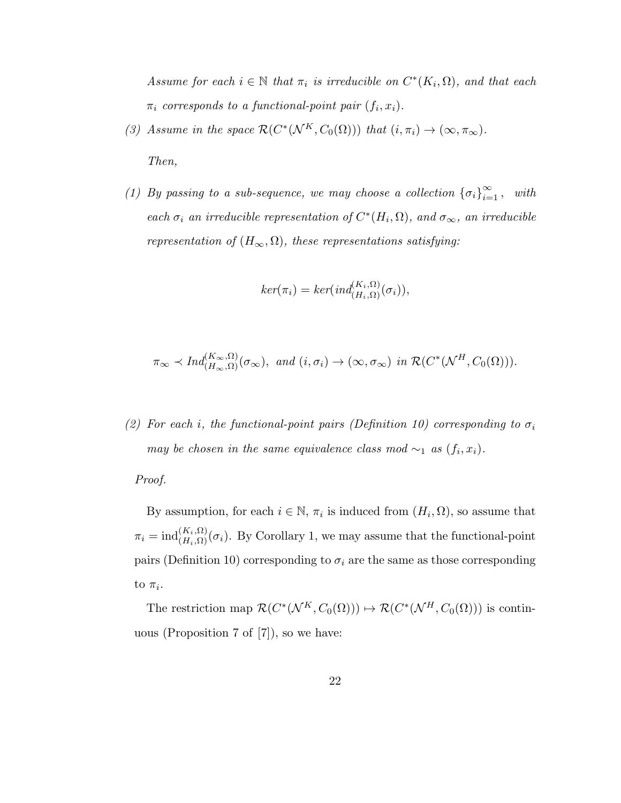Assume for each  $i \in \mathbb{N}$  that  $\pi_i$  is irreducible on  $C^*(K_i, \Omega)$ , and that each  $\pi_i$  corresponds to a functional-point pair  $(f_i, x_i)$ .

(3) Assume in the space  $\mathcal{R}(C^*(\mathcal{N}^K,C_0(\Omega)))$  that  $(i,\pi_i) \to (\infty,\pi_\infty)$ .

Then,

(1) By passing to a sub-sequence, we may choose a collection  $\{\sigma_i\}_{i=1}^{\infty}$ , with each  $\sigma_i$  an irreducible representation of  $C^*(H_i, \Omega)$ , and  $\sigma_{\infty}$ , an irreducible representation of  $(H_{\infty}, \Omega)$ , these representations satisfying:

$$
ker(\pi_i) = ker(ind_{(H_i,\Omega)}^{(K_i,\Omega)}(\sigma_i)),
$$

$$
\pi_{\infty}
$$
  $\prec$  Ind $(K_{\infty}, \Omega)$  $(\sigma_{\infty})$ , and  $(i, \sigma_i) \to (\infty, \sigma_{\infty})$  in  $\mathcal{R}(C^*(\mathcal{N}^H, C_0(\Omega))).$ 

(2) For each i, the functional-point pairs (Definition 10) corresponding to  $\sigma_i$ may be chosen in the same equivalence class mod  $\sim_1$  as  $(f_i, x_i)$ .

Proof.

By assumption, for each  $i \in \mathbb{N}$ ,  $\pi_i$  is induced from  $(H_i, \Omega)$ , so assume that  $\pi_i = \text{ind}_{(H_i, \Omega)}^{(K_i, \Omega)}(\sigma_i)$ . By Corollary 1, we may assume that the functional-point pairs (Definition 10) corresponding to  $\sigma_i$  are the same as those corresponding to  $\pi_i$ .

The restriction map  $\mathcal{R}(C^*(\mathcal{N}^K,C_0(\Omega))) \mapsto \mathcal{R}(C^*(\mathcal{N}^H,C_0(\Omega)))$  is continuous (Proposition 7 of [7]), so we have: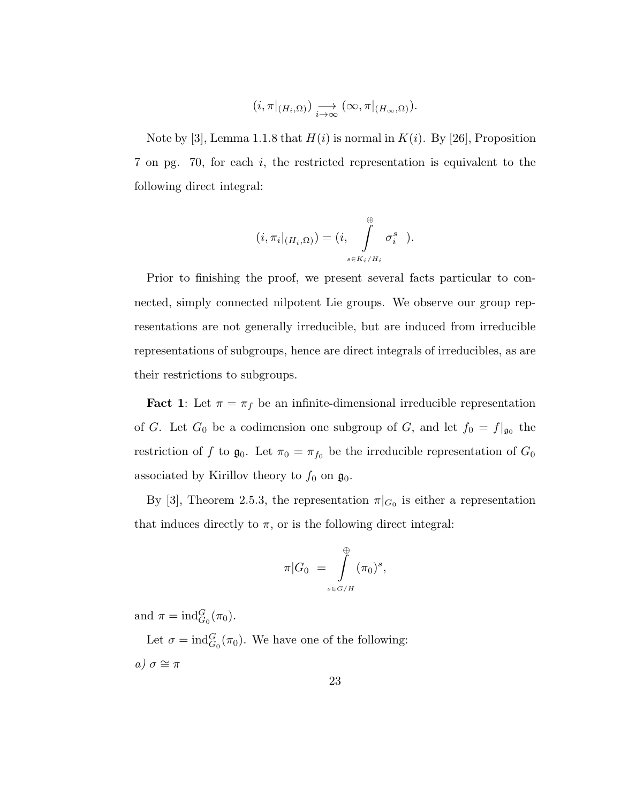$$
(i, \pi|_{(H_i,\Omega)}) \underset{i\to\infty}{\longrightarrow} (\infty, \pi|_{(H_{\infty},\Omega)}).
$$

Note by [3], Lemma 1.1.8 that  $H(i)$  is normal in  $K(i)$ . By [26], Proposition 7 on pg. 70, for each i, the restricted representation is equivalent to the following direct integral:

$$
(i, \pi_i|_{(H_i, \Omega)}) = (i, \int_{s \in K_i/H_i}^{\oplus} \sigma_i^s).
$$

Prior to finishing the proof, we present several facts particular to connected, simply connected nilpotent Lie groups. We observe our group representations are not generally irreducible, but are induced from irreducible representations of subgroups, hence are direct integrals of irreducibles, as are their restrictions to subgroups.

**Fact 1:** Let  $\pi = \pi_f$  be an infinite-dimensional irreducible representation of G. Let  $G_0$  be a codimension one subgroup of G, and let  $f_0 = f|_{\mathfrak{g}_0}$  the restriction of f to  $\mathfrak{g}_0$ . Let  $\pi_0 = \pi_{f_0}$  be the irreducible representation of  $G_0$ associated by Kirillov theory to  $f_0$  on  $\mathfrak{g}_0$ .

By [3], Theorem 2.5.3, the representation  $\pi|_{G_0}$  is either a representation that induces directly to  $\pi$ , or is the following direct integral:

$$
\pi|G_0 = \int_{s \in G/H}^{\oplus} (\pi_0)^s,
$$

and  $\pi = \text{ind}_{G_0}^G(\pi_0)$ .

Let  $\sigma = \text{ind}_{G_0}^G(\pi_0)$ . We have one of the following: a)  $\sigma \cong \pi$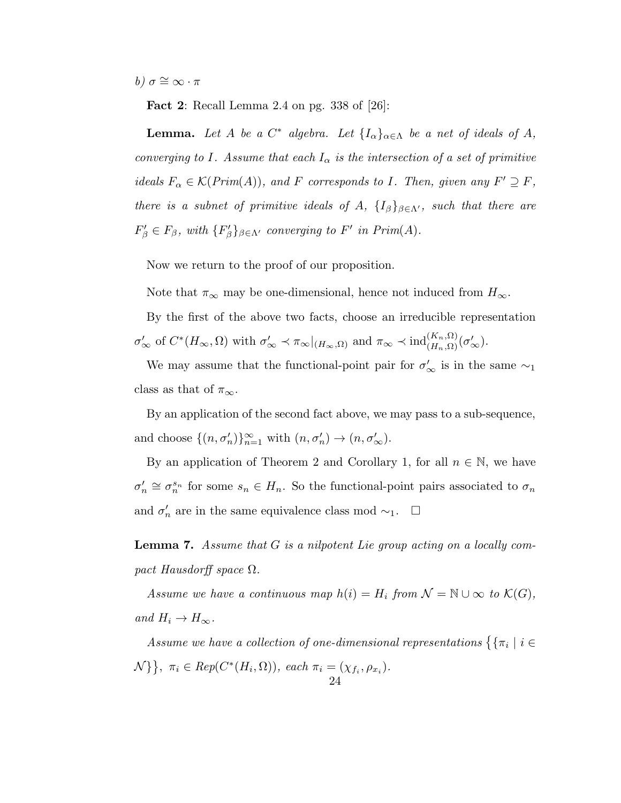b)  $\sigma \cong \infty \cdot \pi$ 

Fact 2: Recall Lemma 2.4 on pg. 338 of [26]:

**Lemma.** Let A be a  $C^*$  algebra. Let  $\{I_\alpha\}_{\alpha \in \Lambda}$  be a net of ideals of A, converging to I. Assume that each  $I_{\alpha}$  is the intersection of a set of primitive ideals  $F_{\alpha} \in \mathcal{K}(Prim(A)),$  and F corresponds to I. Then, given any  $F' \supseteq F$ , there is a subnet of primitive ideals of A,  $\{I_\beta\}_{\beta \in \Lambda'}$ , such that there are  $F'_{\beta} \in F_{\beta}$ , with  $\{F'_{\beta}\}_{\beta \in \Lambda'}$  converging to  $F'$  in  $Prim(A)$ .

Now we return to the proof of our proposition.

Note that  $\pi_{\infty}$  may be one-dimensional, hence not induced from  $H_{\infty}$ .

By the first of the above two facts, choose an irreducible representation  $\sigma'_{\infty}$  of  $C^*(H_{\infty}, \Omega)$  with  $\sigma'_{\infty} \prec \pi_{\infty}|_{(H_{\infty}, \Omega)}$  and  $\pi_{\infty} \prec \text{ind}_{(H_n, \Omega)}^{(K_n, \Omega)}(\sigma'_{\infty})$ .

We may assume that the functional-point pair for  $\sigma'_{\infty}$  is in the same  $\sim_1$ class as that of  $\pi_{\infty}$ .

By an application of the second fact above, we may pass to a sub-sequence, and choose  $\{(n, \sigma'_n)\}_{n=1}^{\infty}$  with  $(n, \sigma'_n) \to (n, \sigma'_{\infty})$ .

By an application of Theorem 2 and Corollary 1, for all  $n \in \mathbb{N}$ , we have  $\sigma'_n \cong \sigma_n^{s_n}$  for some  $s_n \in H_n$ . So the functional-point pairs associated to  $\sigma_n$ and  $\sigma'_n$  are in the same equivalence class mod  $\sim_1$ .  $\Box$ 

Lemma 7. Assume that G is a nilpotent Lie group acting on a locally compact Hausdorff space  $\Omega$ .

Assume we have a continuous map  $h(i) = H_i$  from  $\mathcal{N} = \mathbb{N} \cup \infty$  to  $\mathcal{K}(G)$ , and  $H_i \to H_\infty$ .

Assume we have a collection of one-dimensional representations  $\{\{\pi_i\mid i\in\mathbb{N}\}$  $\mathcal{N} \}, \ \pi_i \in Rep(C^*(H_i, \Omega)), \ each \ \pi_i = (\chi_{f_i}, \rho_{x_i}).$ 24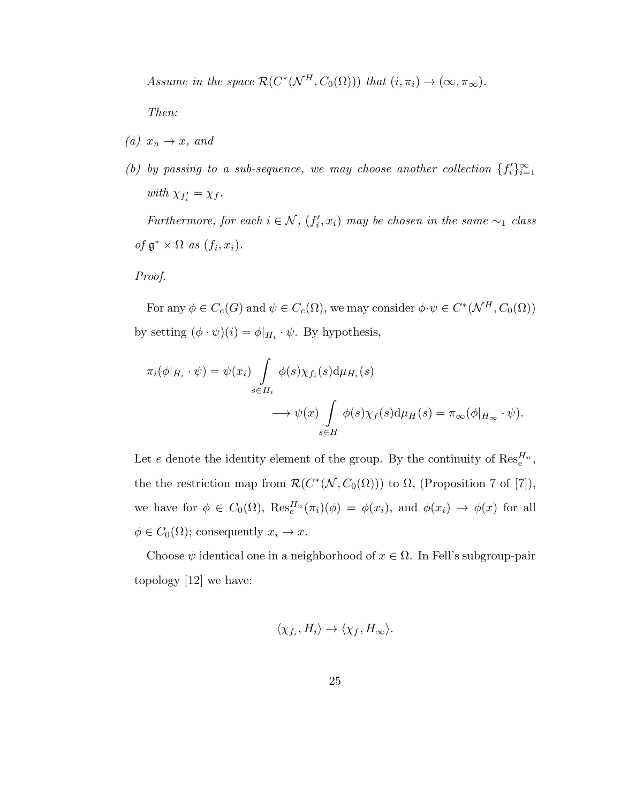Assume in the space  $\mathcal{R}(C^*(\mathcal{N}^H, C_0(\Omega)))$  that  $(i, \pi_i) \to (\infty, \pi_\infty)$ .

Then:

- (a)  $x_n \to x$ , and
- (b) by passing to a sub-sequence, we may choose another collection  $\{f_i'\}_{i=1}^{\infty}$ with  $\chi_{f_i'} = \chi_f$ .

Furthermore, for each  $i \in \mathcal{N}$ ,  $(f'_i, x_i)$  may be chosen in the same  $\sim_1$  class of  $\mathfrak{g}^* \times \Omega$  as  $(f_i, x_i)$ .

# Proof.

For any  $\phi \in C_c(G)$  and  $\psi \in C_c(\Omega)$ , we may consider  $\phi \cdot \psi \in C^*(\mathcal{N}^H, C_0(\Omega))$ by setting  $(\phi \cdot \psi)(i) = \phi|_{H_i} \cdot \psi$ . By hypothesis,

$$
\pi_i(\phi|_{H_i} \cdot \psi) = \psi(x_i) \int_{s \in H_i} \phi(s) \chi_{f_i}(s) d\mu_{H_i}(s)
$$

$$
\longrightarrow \psi(x) \int_{s \in H} \phi(s) \chi_f(s) d\mu_H(s) = \pi_\infty(\phi|_{H_\infty} \cdot \psi).
$$

Let e denote the identity element of the group. By the continuity of  $\text{Res}_{e}^{H_n}$ , the the restriction map from  $\mathcal{R}(C^*(\mathcal{N}, C_0(\Omega)))$  to  $\Omega$ , (Proposition 7 of [7]), we have for  $\phi \in C_0(\Omega)$ ,  $\text{Res}_{e}^{H_n}(\pi_i)(\phi) = \phi(x_i)$ , and  $\phi(x_i) \to \phi(x)$  for all  $\phi \in C_0(\Omega)$ ; consequently  $x_i \to x$ .

Choose  $\psi$  identical one in a neighborhood of  $x \in \Omega$ . In Fell's subgroup-pair topology [12] we have:

$$
\langle \chi_{f_i}, H_i \rangle \to \langle \chi_f, H_\infty \rangle.
$$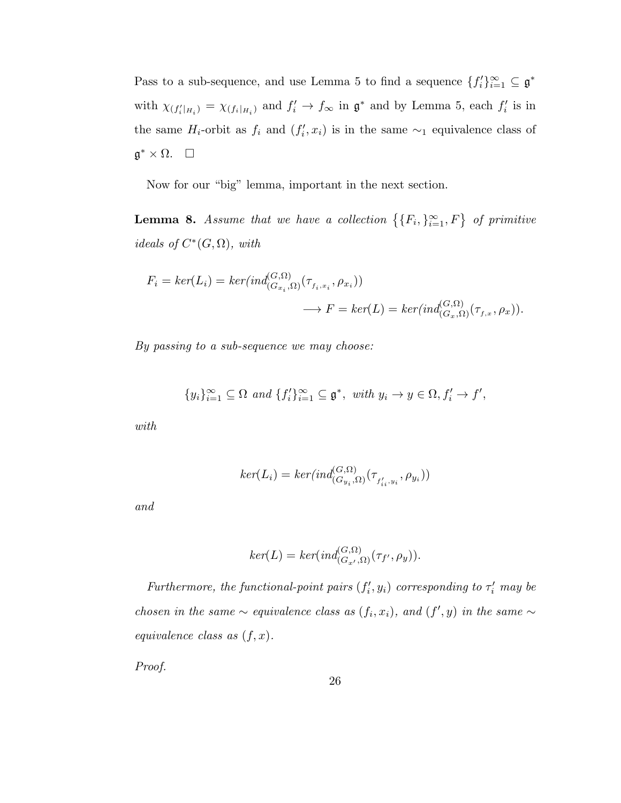Pass to a sub-sequence, and use Lemma 5 to find a sequence  $\{f_i'\}_{i=1}^{\infty} \subseteq \mathfrak{g}^*$ with  $\chi_{(f_i'|_{H_i})} = \chi_{(f_i|_{H_i})}$  and  $f_i' \to f_\infty$  in  $\mathfrak{g}^*$  and by Lemma 5, each  $f_i'$  is in the same  $H_i$ -orbit as  $f_i$  and  $(f'_i, x_i)$  is in the same  $\sim_1$  equivalence class of  $\mathfrak{g}^* \times \Omega$ .  $\square$ 

Now for our "big" lemma, important in the next section.

**Lemma 8.** Assume that we have a collection  $\{ \{F_i, \}_{i=1}^{\infty}, F \}$  of primitive ideals of  $C^*(G, \Omega)$ , with

$$
F_i = \ker(L_i) = \ker(\operatorname{ind}_{(G_{x_i}, \Omega)}^{(G, \Omega)}(\tau_{f_i, x_i}, \rho_{x_i}))
$$
  

$$
\longrightarrow F = \ker(L) = \ker(\operatorname{ind}_{(G_x, \Omega)}^{(G, \Omega)}(\tau_{f, x}, \rho_x)).
$$

By passing to a sub-sequence we may choose:

$$
\{y_i\}_{i=1}^{\infty} \subseteq \Omega \text{ and } \{f'_i\}_{i=1}^{\infty} \subseteq \mathfrak{g}^*, \text{ with } y_i \to y \in \Omega, f'_i \to f',
$$

with

$$
ker(L_i) = ker(ind_{(G_{y_i}, \Omega)}^{(G, \Omega)}(\tau_{f'_{i_i}, y_i}, \rho_{y_i}))
$$

and

$$
ker(L) = ker(ind_{(G_{x'}, \Omega)}^{(G, \Omega)}(\tau_{f'}, \rho_y)).
$$

Furthermore, the functional-point pairs  $(f'_i, y_i)$  corresponding to  $\tau'_i$  may be chosen in the same  $\sim$  equivalence class as  $(f_i, x_i)$ , and  $(f', y)$  in the same  $\sim$ equivalence class as  $(f, x)$ .

Proof.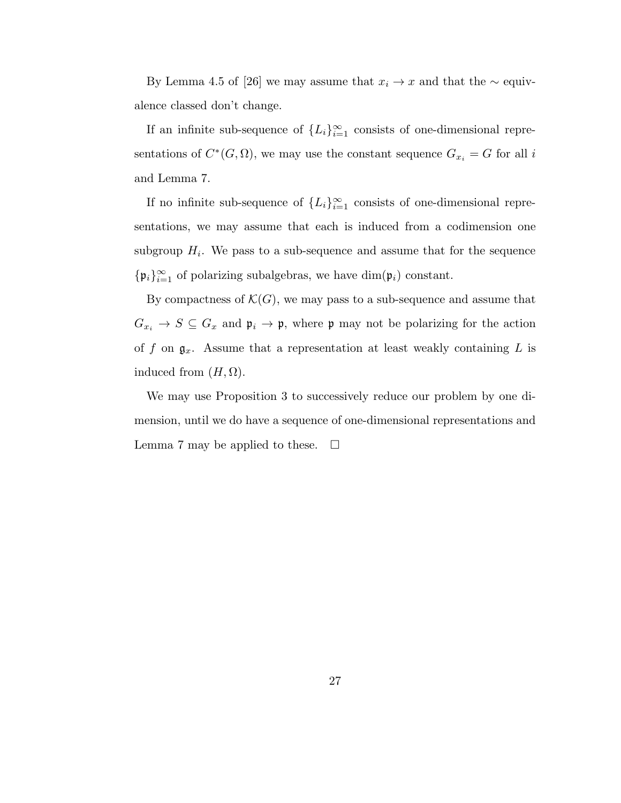By Lemma 4.5 of [26] we may assume that  $x_i \to x$  and that the  $\sim$  equivalence classed don't change.

If an infinite sub-sequence of  $\{L_i\}_{i=1}^{\infty}$  consists of one-dimensional representations of  $C^*(G, \Omega)$ , we may use the constant sequence  $G_{x_i} = G$  for all i and Lemma 7.

If no infinite sub-sequence of  ${L_i}_{i=1}^{\infty}$  consists of one-dimensional representations, we may assume that each is induced from a codimension one subgroup  $H_i$ . We pass to a sub-sequence and assume that for the sequence  $\{\mathfrak{p}_i\}_{i=1}^{\infty}$  of polarizing subalgebras, we have  $\dim(\mathfrak{p}_i)$  constant.

By compactness of  $\mathcal{K}(G)$ , we may pass to a sub-sequence and assume that  $G_{x_i} \to S \subseteq G_x$  and  $\mathfrak{p}_i \to \mathfrak{p}$ , where  $\mathfrak{p}$  may not be polarizing for the action of f on  $\mathfrak{g}_x$ . Assume that a representation at least weakly containing L is induced from  $(H, \Omega)$ .

We may use Proposition 3 to successively reduce our problem by one dimension, until we do have a sequence of one-dimensional representations and Lemma 7 may be applied to these.  $\Box$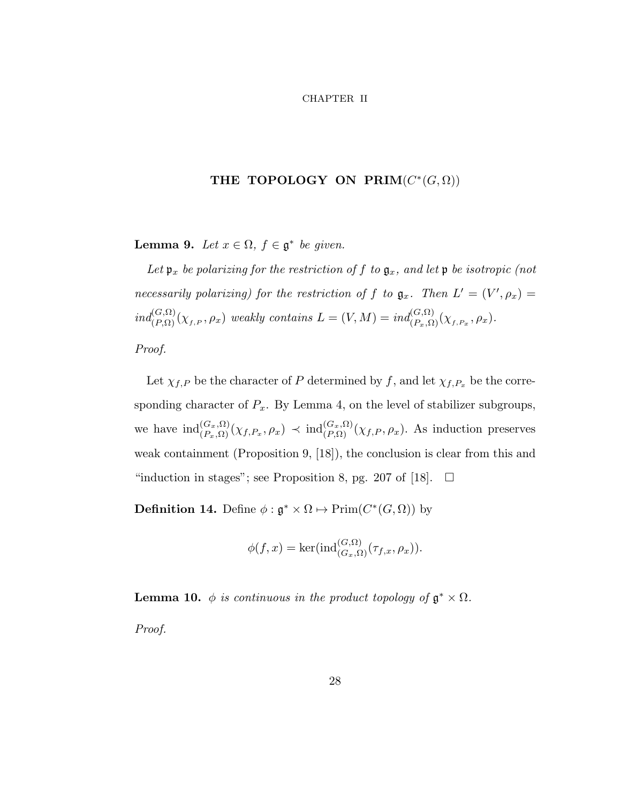#### CHAPTER II

# THE TOPOLOGY ON  $\textbf{PRIM}(C^*(G, \Omega))$

Lemma 9. Let  $x \in \Omega$ ,  $f \in \mathfrak{g}^*$  be given.

Let  $\mathfrak{p}_x$  be polarizing for the restriction of f to  $\mathfrak{g}_x$ , and let  $\mathfrak{p}$  be isotropic (not necessarily polarizing) for the restriction of f to  $\mathfrak{g}_x$ . Then  $L' = (V', \rho_x) =$  $ind_{(P,\Omega)}^{(G,\Omega)}(\chi_{f,P},\rho_x)$  weakly contains  $L=(V,M)=ind_{(P_x,\Omega)}^{(G,\Omega)}(\chi_{f,P_x},\rho_x)$ .

Proof.

Let  $\chi_{f,P}$  be the character of P determined by f, and let  $\chi_{f,P_x}$  be the corresponding character of  $P_x$ . By Lemma 4, on the level of stabilizer subgroups, we have  $\text{ind}_{(P_x,\Omega)}^{(G_x,\Omega)}(\chi_{f,P_x},\rho_x) \prec \text{ind}_{(P,\Omega)}^{(G_x,\Omega)}(\chi_{f,P},\rho_x)$ . As induction preserves weak containment (Proposition 9, [18]), the conclusion is clear from this and "induction in stages"; see Proposition 8, pg. 207 of [18].  $\Box$ 

**Definition 14.** Define  $\phi : \mathfrak{g}^* \times \Omega \mapsto \mathrm{Prim}(C^*(G,\Omega))$  by

$$
\phi(f, x) = \ker(\text{ind}_{(G_x, \Omega)}^{(G, \Omega)}(\tau_{f, x}, \rho_x)).
$$

**Lemma 10.**  $\phi$  is continuous in the product topology of  $\mathfrak{g}^* \times \Omega$ .

Proof.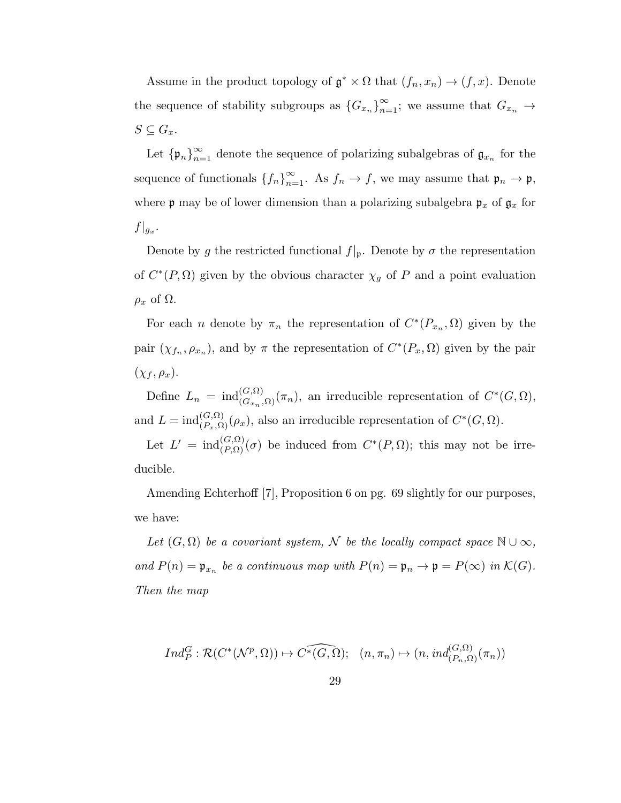Assume in the product topology of  $\mathfrak{g}^* \times \Omega$  that  $(f_n, x_n) \to (f, x)$ . Denote the sequence of stability subgroups as  ${G_{x_n}}_{n=1}^{\infty}$ ; we assume that  $G_{x_n} \to$  $S \subseteq G_x$ .

Let  ${\{\mathfrak{p}_n\}}_{n=1}^{\infty}$  denote the sequence of polarizing subalgebras of  $\mathfrak{g}_{x_n}$  for the sequence of functionals  ${f_n}_{n=1}^{\infty}$ . As  $f_n \to f$ , we may assume that  $\mathfrak{p}_n \to \mathfrak{p}$ , where **p** may be of lower dimension than a polarizing subalgebra  $\mathfrak{p}_x$  of  $\mathfrak{g}_x$  for  $f|_{g_x}.$ 

Denote by g the restricted functional  $f|_{p}$ . Denote by  $\sigma$  the representation of  $C^*(P, \Omega)$  given by the obvious character  $\chi_g$  of P and a point evaluation  $\rho_x$  of  $\Omega$ .

For each *n* denote by  $\pi_n$  the representation of  $C^*(P_{x_n}, \Omega)$  given by the pair  $(\chi_{f_n}, \rho_{x_n})$ , and by  $\pi$  the representation of  $C^*(P_x, \Omega)$  given by the pair  $(\chi_f, \rho_x).$ 

Define  $L_n = \text{ind}_{(G_{x_n}, \Omega)}^{(G, \Omega)}(\pi_n)$ , an irreducible representation of  $C^*(G, \Omega)$ , and  $L = \text{ind}_{(P_x, \Omega)}^{(G, \Omega)}(\rho_x)$ , also an irreducible representation of  $C^*(G, \Omega)$ .

Let  $L' = \text{ind}_{(P,\Omega)}^{(G,\Omega)}(\sigma)$  be induced from  $C^*(P,\Omega)$ ; this may not be irreducible.

Amending Echterhoff [7], Proposition 6 on pg. 69 slightly for our purposes, we have:

Let  $(G, \Omega)$  be a covariant system, N be the locally compact space  $\mathbb{N} \cup \infty$ , and  $P(n) = \mathfrak{p}_{x_n}$  be a continuous map with  $P(n) = \mathfrak{p}_n \to \mathfrak{p} = P(\infty)$  in  $\mathcal{K}(G)$ . Then the map

$$
Ind_P^G : \mathcal{R}(C^*(\mathcal{N}^p, \Omega)) \mapsto \widehat{C^*(G, \Omega)}; \quad (n, \pi_n) \mapsto (n, ind_{(P_n, \Omega)}^{(G, \Omega)}(\pi_n))
$$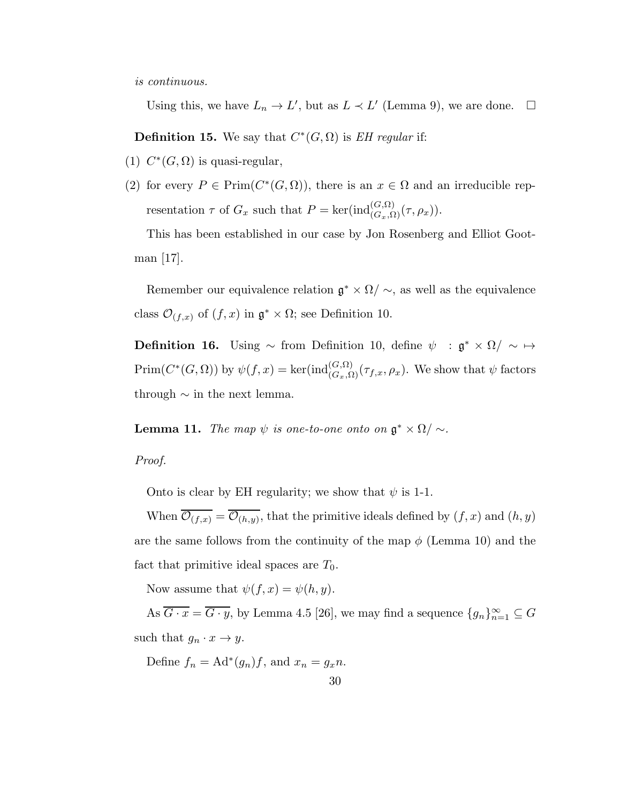is continuous.

Using this, we have  $L_n \to L'$ , but as  $L \prec L'$  (Lemma 9), we are done.  $\square$ 

**Definition 15.** We say that  $C^*(G, \Omega)$  is *EH regular* if:

- (1)  $C^*(G, \Omega)$  is quasi-regular,
- (2) for every  $P \in \text{Prim}(C^*(G, \Omega))$ , there is an  $x \in \Omega$  and an irreducible representation  $\tau$  of  $G_x$  such that  $P = \text{ker}(\text{ind}_{(G_x, \Omega)}^{(G, \Omega)}(\tau, \rho_x)).$

This has been established in our case by Jon Rosenberg and Elliot Gootman  $|17|$ .

Remember our equivalence relation  $\mathfrak{g}^* \times \Omega / \sim$ , as well as the equivalence class  $\mathcal{O}_{(f,x)}$  of  $(f,x)$  in  $\mathfrak{g}^* \times \Omega$ ; see Definition 10.

**Definition 16.** Using  $\sim$  from Definition 10, define  $\psi$  :  $\mathfrak{g}^* \times \Omega / \sim \mapsto$  $\text{Prim}(C^*(G,\Omega))$  by  $\psi(f,x) = \text{ker}(\text{ind}_{(G_x,\Omega)}^{(G,\Omega)}(\tau_{f,x},\rho_x)$ . We show that  $\psi$  factors through  $\sim$  in the next lemma.

**Lemma 11.** The map  $\psi$  is one-to-one onto on  $\mathfrak{g}^* \times \Omega / \sim$ .

Proof.

Onto is clear by EH regularity; we show that  $\psi$  is 1-1.

When  $\mathcal{O}_{(f,x)} = \mathcal{O}_{(h,y)}$ , that the primitive ideals defined by  $(f,x)$  and  $(h,y)$ are the same follows from the continuity of the map  $\phi$  (Lemma 10) and the fact that primitive ideal spaces are  $T_0$ .

Now assume that  $\psi(f, x) = \psi(h, y)$ .

As  $\overline{G \cdot x} = \overline{G \cdot y}$ , by Lemma 4.5 [26], we may find a sequence  $\{g_n\}_{n=1}^{\infty} \subseteq G$ such that  $g_n \cdot x \to y$ .

Define  $f_n = \text{Ad}^*(g_n)f$ , and  $x_n = g_x n$ .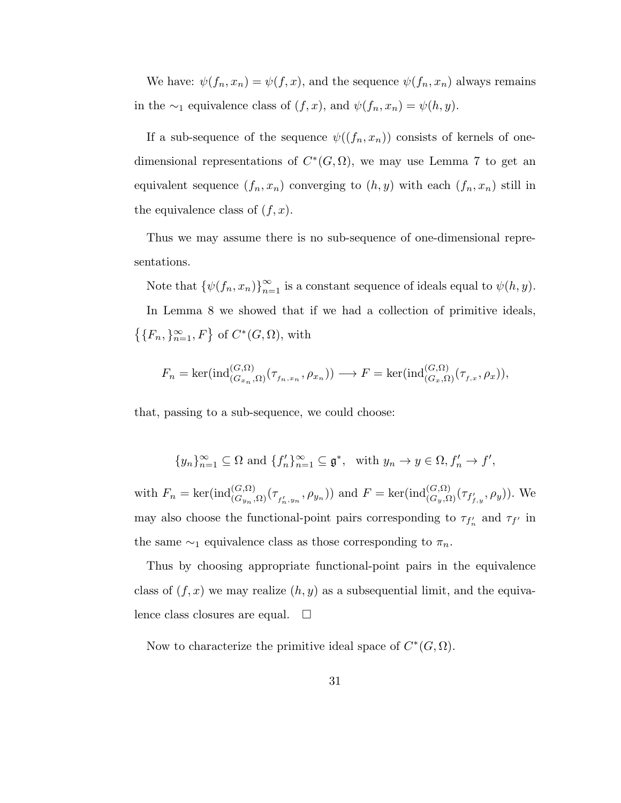We have:  $\psi(f_n, x_n) = \psi(f, x)$ , and the sequence  $\psi(f_n, x_n)$  always remains in the ∼<sub>1</sub> equivalence class of  $(f, x)$ , and  $\psi(f_n, x_n) = \psi(h, y)$ .

If a sub-sequence of the sequence  $\psi((f_n, x_n))$  consists of kernels of onedimensional representations of  $C^*(G, \Omega)$ , we may use Lemma 7 to get an equivalent sequence  $(f_n, x_n)$  converging to  $(h, y)$  with each  $(f_n, x_n)$  still in the equivalence class of  $(f, x)$ .

Thus we may assume there is no sub-sequence of one-dimensional representations.

Note that  $\{\psi(f_n, x_n)\}_{n=1}^{\infty}$  is a constant sequence of ideals equal to  $\psi(h, y)$ . In Lemma 8 we showed that if we had a collection of primitive ideals,  $\{F_n, \}_{n=1}^{\infty}, F\}$  of  $C^*(G, \Omega)$ , with

$$
F_n = \ker(\text{ind}_{(G_{x_n},\Omega)}^{(G,\Omega)}(\tau_{f_n,x_n},\rho_{x_n})) \longrightarrow F = \ker(\text{ind}_{(G_x,\Omega)}^{(G,\Omega)}(\tau_{f,x},\rho_x)),
$$

that, passing to a sub-sequence, we could choose:

$$
\{y_n\}_{n=1}^{\infty}\subseteq\Omega\text{ and }\{f'_n\}_{n=1}^{\infty}\subseteq\mathfrak{g}^*,\text{ with }y_n\to y\in\Omega, f'_n\to f',
$$

with  $F_n = \ker(\text{ind}_{(G_{yn}, \Omega)}^{(G, \Omega)}(\tau_{f'_n, y_n}, \rho_{y_n}))$  and  $F = \text{ker}(\text{ind}_{(G_y, \Omega)}^{(G, \Omega)}(\tau_{f'_{f,y}}, \rho_y)).$  We may also choose the functional-point pairs corresponding to  $\tau_{f'_n}$  and  $\tau_{f'}$  in the same  $\sim_1$  equivalence class as those corresponding to  $\pi_n$ .

Thus by choosing appropriate functional-point pairs in the equivalence class of  $(f, x)$  we may realize  $(h, y)$  as a subsequential limit, and the equivalence class closures are equal.  $\square$ 

Now to characterize the primitive ideal space of  $C^*(G, \Omega)$ .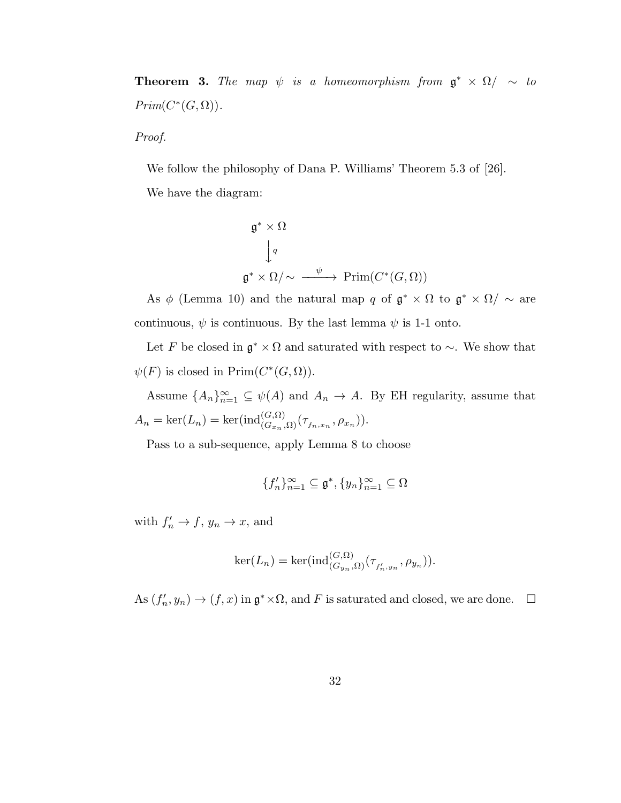**Theorem 3.** The map  $\psi$  is a homeomorphism from  $\mathfrak{g}^* \times \Omega / \sim to$  $Prim(C^*(G,\Omega)).$ 

Proof.

We follow the philosophy of Dana P. Williams' Theorem 5.3 of [26]. We have the diagram:

$$
\mathfrak{g}^* \times \Omega
$$
  
\n
$$
\downarrow q
$$
  
\n
$$
\mathfrak{g}^* \times \Omega/\sim \xrightarrow{\psi} \mathrm{Prim}(C^*(G, \Omega))
$$

As  $\phi$  (Lemma 10) and the natural map q of  $\mathfrak{g}^* \times \Omega$  to  $\mathfrak{g}^* \times \Omega / \sim \text{are}$ continuous,  $\psi$  is continuous. By the last lemma  $\psi$  is 1-1 onto.

Let F be closed in  $\mathfrak{g}^* \times \Omega$  and saturated with respect to  $\sim$ . We show that  $\psi(F)$  is closed in  $\text{Prim}(C^*(G,\Omega)).$ 

Assume  ${A_n}_{n=1}^{\infty} \subseteq \psi(A)$  and  $A_n \to A$ . By EH regularity, assume that  $A_n = \ker(L_n) = \ker(\text{ind}_{(G_{x_n}, \Omega)}^{(G, \Omega)}(\tau_{f_n, x_n}, \rho_{x_n})).$ 

Pass to a sub-sequence, apply Lemma 8 to choose

$$
\{f'_n\}_{n=1}^{\infty} \subseteq \mathfrak{g}^*, \{y_n\}_{n=1}^{\infty} \subseteq \Omega
$$

with  $f'_n \to f$ ,  $y_n \to x$ , and

$$
\ker(L_n) = \ker(\mathrm{ind}_{(G_{y_n}, \Omega)}^{(G, \Omega)}(\tau_{f'_n, y_n}, \rho_{y_n})).
$$

As  $(f'_n, y_n) \to (f, x)$  in  $\mathfrak{g}^* \times \Omega$ , and F is saturated and closed, we are done.  $\Box$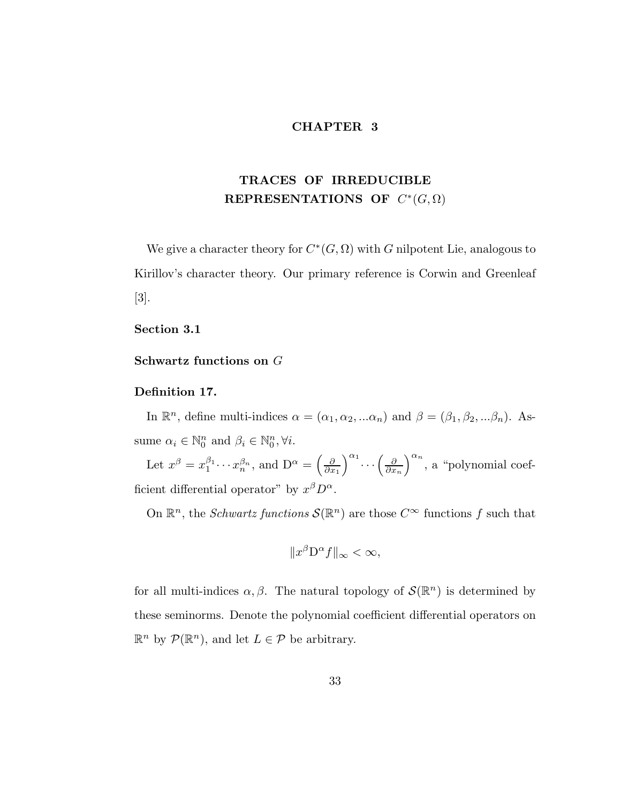## CHAPTER 3

# TRACES OF IRREDUCIBLE REPRESENTATIONS OF  $C^*(G,\Omega)$

We give a character theory for  $C^*(G, \Omega)$  with G nilpotent Lie, analogous to Kirillov's character theory. Our primary reference is Corwin and Greenleaf [3].

## Section 3.1

Schwartz functions on G

## Definition 17.

In  $\mathbb{R}^n$ , define multi-indices  $\alpha = (\alpha_1, \alpha_2, ... \alpha_n)$  and  $\beta = (\beta_1, \beta_2, ... \beta_n)$ . Assume  $\alpha_i \in \mathbb{N}_0^n$  and  $\beta_i \in \mathbb{N}_0^n, \forall i$ .

Let  $x^{\beta} = x_1^{\beta_1}$  $a_1^{\beta_1} \cdots x_n^{\beta_n}$ , and  $D^{\alpha} = \left(\frac{\partial}{\partial x}\right)$  $\partial x_1$  $\int^{\alpha_1} \cdots \left( \frac{\partial}{\partial x} \right)$  $\partial x_n$  $a^n$ , a "polynomial coefficient differential operator" by  $x^{\beta}D^{\alpha}$ .

On  $\mathbb{R}^n$ , the *Schwartz functions*  $\mathcal{S}(\mathbb{R}^n)$  are those  $C^{\infty}$  functions f such that

$$
||x^{\beta}D^{\alpha}f||_{\infty} < \infty,
$$

for all multi-indices  $\alpha, \beta$ . The natural topology of  $\mathcal{S}(\mathbb{R}^n)$  is determined by these seminorms. Denote the polynomial coefficient differential operators on  $\mathbb{R}^n$  by  $\mathcal{P}(\mathbb{R}^n)$ , and let  $L \in \mathcal{P}$  be arbitrary.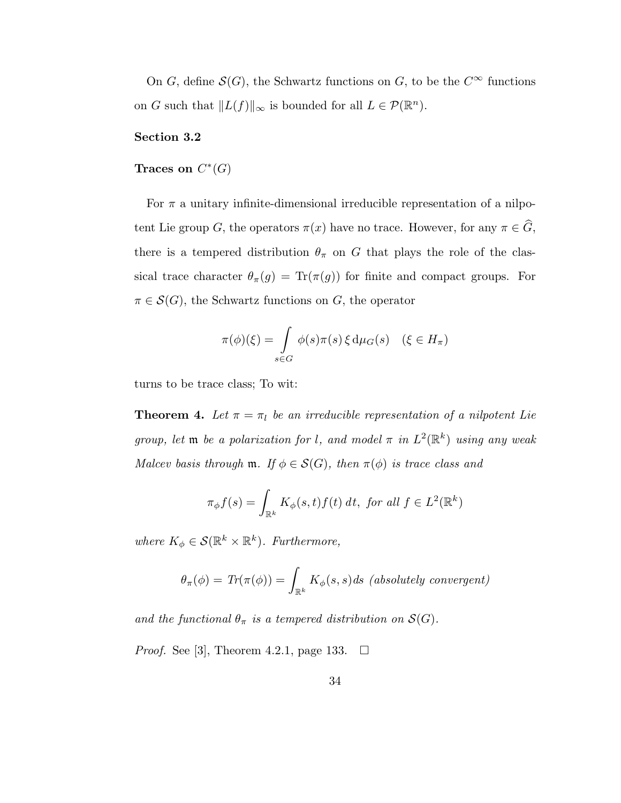On G, define  $S(G)$ , the Schwartz functions on G, to be the  $C^{\infty}$  functions on G such that  $||L(f)||_{\infty}$  is bounded for all  $L \in \mathcal{P}(\mathbb{R}^n)$ .

## Section 3.2

# Traces on  $C^*(G)$

For  $\pi$  a unitary infinite-dimensional irreducible representation of a nilpotent Lie group G, the operators  $\pi(x)$  have no trace. However, for any  $\pi \in \widehat{G}$ , there is a tempered distribution  $\theta_{\pi}$  on G that plays the role of the classical trace character  $\theta_{\pi}(g) = \text{Tr}(\pi(g))$  for finite and compact groups. For  $\pi \in \mathcal{S}(G)$ , the Schwartz functions on G, the operator

$$
\pi(\phi)(\xi) = \int\limits_{s \in G} \phi(s)\pi(s)\,\xi\,\mathrm{d}\mu_G(s) \quad (\xi \in H_\pi)
$$

turns to be trace class; To wit:

**Theorem 4.** Let  $\pi = \pi_l$  be an irreducible representation of a nilpotent Lie group, let  $\mathfrak m$  be a polarization for l, and model  $\pi$  in  $L^2(\mathbb R^k)$  using any weak Malcev basis through  $m$ . If  $\phi \in \mathcal{S}(G)$ , then  $\pi(\phi)$  is trace class and

$$
\pi_{\phi}f(s) = \int_{\mathbb{R}^k} K_{\phi}(s, t) f(t) dt, \text{ for all } f \in L^2(\mathbb{R}^k)
$$

where  $K_{\phi} \in \mathcal{S}(\mathbb{R}^k \times \mathbb{R}^k)$ . Furthermore,

$$
\theta_{\pi}(\phi) = \text{Tr}(\pi(\phi)) = \int_{\mathbb{R}^k} K_{\phi}(s, s) ds \text{ (absolutely convergent)}
$$

and the functional  $\theta_{\pi}$  is a tempered distribution on  $\mathcal{S}(G)$ .

*Proof.* See [3], Theorem 4.2.1, page 133.  $\Box$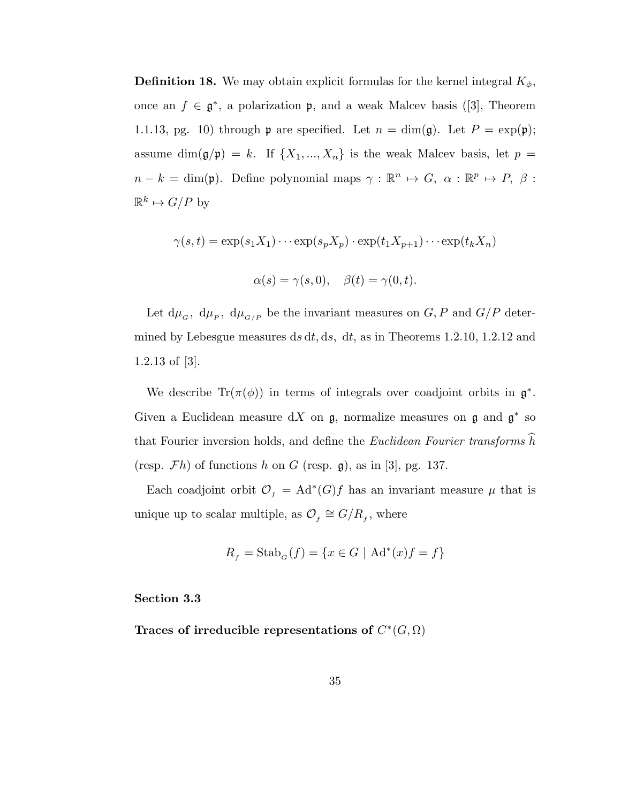**Definition 18.** We may obtain explicit formulas for the kernel integral  $K_{\phi}$ , once an  $f \in \mathfrak{g}^*$ , a polarization  $\mathfrak{p}$ , and a weak Malcev basis ([3], Theorem 1.1.13, pg. 10) through  $\mathfrak p$  are specified. Let  $n = \dim(\mathfrak g)$ . Let  $P = \exp(\mathfrak p)$ ; assume dim( $\mathfrak{g}/\mathfrak{p}$ ) = k. If  $\{X_1, ..., X_n\}$  is the weak Malcev basis, let  $p =$  $n - k = \dim(\mathfrak{p})$ . Define polynomial maps  $\gamma : \mathbb{R}^n \mapsto G$ ,  $\alpha : \mathbb{R}^p \mapsto P$ ,  $\beta$ :  $\mathbb{R}^k \mapsto G/P$  by

$$
\gamma(s,t) = \exp(s_1 X_1) \cdots \exp(s_p X_p) \cdot \exp(t_1 X_{p+1}) \cdots \exp(t_k X_n)
$$
  

$$
\alpha(s) = \gamma(s,0), \quad \beta(t) = \gamma(0,t).
$$

Let  $d\mu_{G}$ ,  $d\mu_{P}$ ,  $d\mu_{G/P}$  be the invariant measures on  $G, P$  and  $G/P$  determined by Lebesgue measures ds dt, ds, dt, as in Theorems 1.2.10, 1.2.12 and 1.2.13 of [3].

We describe  $\text{Tr}(\pi(\phi))$  in terms of integrals over coadjoint orbits in  $\mathfrak{g}^*$ . Given a Euclidean measure dX on  $\mathfrak{g}$ , normalize measures on  $\mathfrak{g}$  and  $\mathfrak{g}^*$  so that Fourier inversion holds, and define the *Euclidean Fourier transforms*  $\hat{h}$ (resp.  $\mathcal{F}h$ ) of functions h on G (resp.  $\mathfrak{g}$ ), as in [3], pg. 137.

Each coadjoint orbit  $\mathcal{O}_f = \mathrm{Ad}^*(G)f$  has an invariant measure  $\mu$  that is unique up to scalar multiple, as  $\mathcal{O}_f \cong G/R_f$ , where

$$
R_f = \operatorname{Stab}_G(f) = \{ x \in G \mid \operatorname{Ad}^*(x)f = f \}
$$

## Section 3.3

Traces of irreducible representations of  $C^*(G,\Omega)$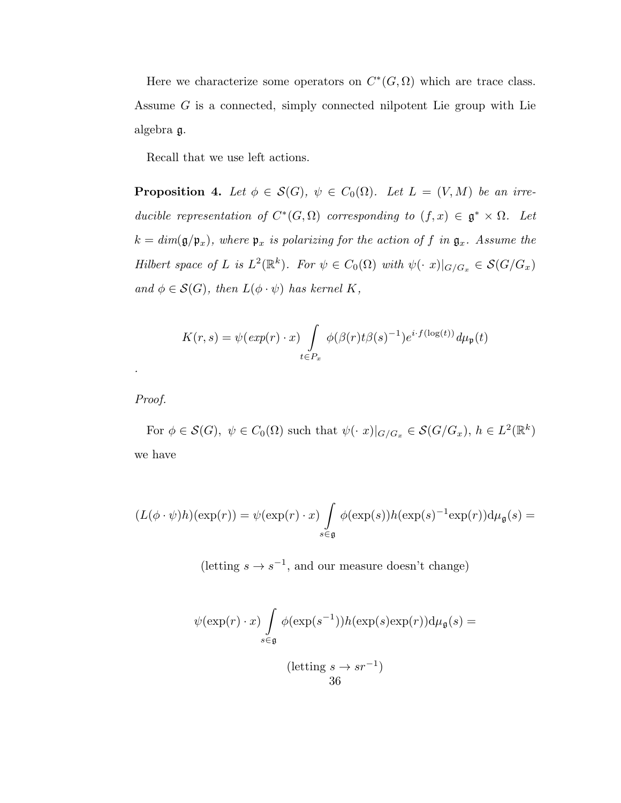Here we characterize some operators on  $C^*(G,\Omega)$  which are trace class. Assume G is a connected, simply connected nilpotent Lie group with Lie algebra g.

Recall that we use left actions.

**Proposition 4.** Let  $\phi \in \mathcal{S}(G)$ ,  $\psi \in C_0(\Omega)$ . Let  $L = (V, M)$  be an irreducible representation of  $C^*(G, \Omega)$  corresponding to  $(f, x) \in \mathfrak{g}^* \times \Omega$ . Let  $k = dim(\mathfrak{g}/\mathfrak{p}_x)$ , where  $\mathfrak{p}_x$  is polarizing for the action of f in  $\mathfrak{g}_x$ . Assume the Hilbert space of L is  $L^2(\mathbb{R}^k)$ . For  $\psi \in C_0(\Omega)$  with  $\psi(\cdot x)|_{G/G_x} \in \mathcal{S}(G/G_x)$ and  $\phi \in \mathcal{S}(G)$ , then  $L(\phi \cdot \psi)$  has kernel K,

$$
K(r,s) = \psi(\exp(r) \cdot x) \int\limits_{t \in P_x} \phi(\beta(r)t\beta(s)^{-1}) e^{i \cdot f(\log(t))} d\mu_{\mathfrak{p}}(t)
$$

Proof.

.

For  $\phi \in \mathcal{S}(G)$ ,  $\psi \in C_0(\Omega)$  such that  $\psi(\cdot|x)|_{G/G_x} \in \mathcal{S}(G/G_x)$ ,  $h \in L^2(\mathbb{R}^k)$ we have

$$
(L(\phi \cdot \psi)h)(\exp(r)) = \psi(\exp(r) \cdot x) \int\limits_{s \in \mathfrak{g}} \phi(\exp(s))h(\exp(s)^{-1}\exp(r))\mathrm{d}\mu_{\mathfrak{g}}(s) =
$$

(letting  $s \to s^{-1}$ , and our measure doesn't change)

$$
\psi(\exp(r) \cdot x) \int_{s \in \mathfrak{g}} \phi(\exp(s^{-1})) h(\exp(s) \exp(r)) d\mu_{\mathfrak{g}}(s) =
$$
\n
$$
(\text{letting } s \to sr^{-1})
$$
\n
$$
36
$$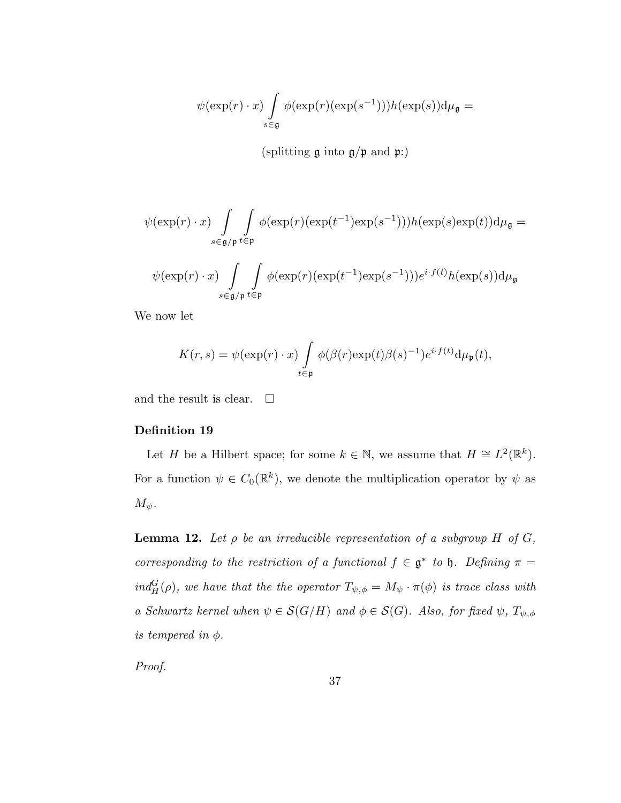$$
\psi(\exp(r)\cdot x)\int\limits_{s\in\mathfrak g}\phi(\exp(r)(\exp(s^{-1})))h(\exp(s))\mathrm{d}\mu_{\mathfrak g}=
$$

(splitting  $\mathfrak g$  into  $\mathfrak g/\mathfrak p$  and  $\mathfrak p$ :)

$$
\psi(\exp(r) \cdot x) \int\limits_{s \in \mathfrak{g}/\mathfrak{p}} \int\limits_{t \in \mathfrak{p}} \phi(\exp(r)(\exp(t^{-1})\exp(s^{-1})))h(\exp(s)\exp(t))\mathrm{d}\mu_{\mathfrak{g}} =
$$
  

$$
\psi(\exp(r) \cdot x) \int\limits_{s \in \mathfrak{g}/\mathfrak{p}} \int\limits_{t \in \mathfrak{p}} \phi(\exp(r)(\exp(t^{-1})\exp(s^{-1})))e^{i \cdot f(t)}h(\exp(s))\mathrm{d}\mu_{\mathfrak{g}}
$$

We now let

$$
K(r,s) = \psi(\exp(r) \cdot x) \int\limits_{t \in \mathfrak{p}} \phi(\beta(r) \exp(t) \beta(s)^{-1}) e^{i \cdot f(t)} d\mu_{\mathfrak{p}}(t),
$$

and the result is clear.  $\Box$ 

## Definition 19

Let H be a Hilbert space; for some  $k \in \mathbb{N}$ , we assume that  $H \cong L^2(\mathbb{R}^k)$ . For a function  $\psi \in C_0(\mathbb{R}^k)$ , we denote the multiplication operator by  $\psi$  as  $M_{\psi}$ .

**Lemma 12.** Let  $\rho$  be an irreducible representation of a subgroup H of G, corresponding to the restriction of a functional  $f \in \mathfrak{g}^*$  to  $\mathfrak{h}$ . Defining  $\pi =$  $ind_H^G(\rho)$ , we have that the the operator  $T_{\psi,\phi} = M_{\psi} \cdot \pi(\phi)$  is trace class with a Schwartz kernel when  $\psi \in \mathcal{S}(G/H)$  and  $\phi \in \mathcal{S}(G)$ . Also, for fixed  $\psi$ ,  $T_{\psi, \phi}$ is tempered in  $\phi$ .

Proof.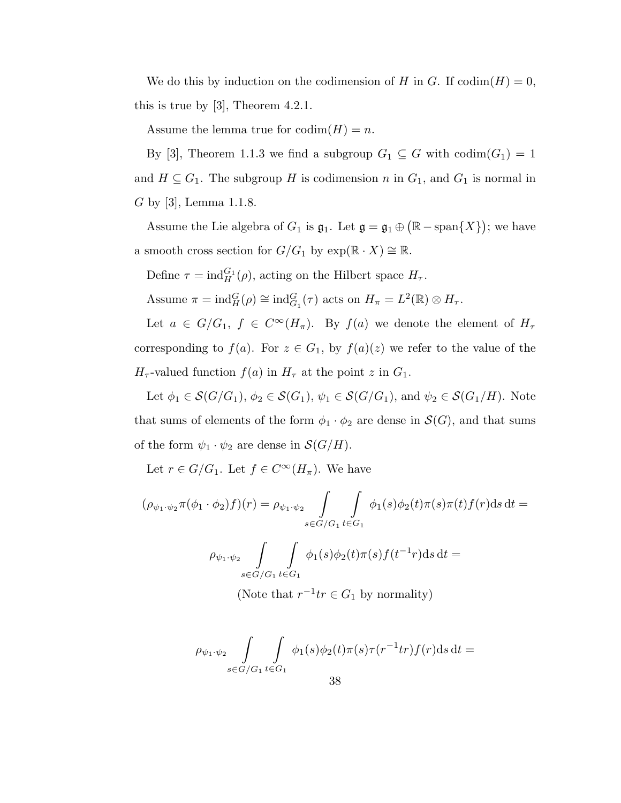We do this by induction on the codimension of H in G. If  $\mathrm{codim}(H) = 0$ , this is true by [3], Theorem 4.2.1.

Assume the lemma true for  $\mathrm{codim}(H) = n$ .

By [3], Theorem 1.1.3 we find a subgroup  $G_1 \subseteq G$  with  $\text{codim}(G_1) = 1$ and  $H \subseteq G_1$ . The subgroup H is codimension n in  $G_1$ , and  $G_1$  is normal in G by [3], Lemma 1.1.8.

Assume the Lie algebra of  $G_1$  is  $\mathfrak{g}_1$ . Let  $\mathfrak{g} = \mathfrak{g}_1 \oplus (\mathbb{R} - \text{span}\{X\})$ ; we have a smooth cross section for  $G/G_1$  by  $exp(\mathbb{R} \cdot X) \cong \mathbb{R}$ .

Define  $\tau = \text{ind}_{H}^{G_1}(\rho)$ , acting on the Hilbert space  $H_{\tau}$ .

Assume  $\pi = \text{ind}_{H}^{G}(\rho) \cong \text{ind}_{G_1}^{G}(\tau)$  acts on  $H_{\pi} = L^{2}(\mathbb{R}) \otimes H_{\tau}$ .

Let  $a \in G/G_1$ ,  $f \in C^{\infty}(H_{\pi})$ . By  $f(a)$  we denote the element of  $H_{\tau}$ corresponding to  $f(a)$ . For  $z \in G_1$ , by  $f(a)(z)$  we refer to the value of the  $H_{\tau}$ -valued function  $f(a)$  in  $H_{\tau}$  at the point z in  $G_1$ .

Let  $\phi_1 \in \mathcal{S}(G/G_1)$ ,  $\phi_2 \in \mathcal{S}(G_1)$ ,  $\psi_1 \in \mathcal{S}(G/G_1)$ , and  $\psi_2 \in \mathcal{S}(G_1/H)$ . Note that sums of elements of the form  $\phi_1 \cdot \phi_2$  are dense in  $\mathcal{S}(G)$ , and that sums of the form  $\psi_1 \cdot \psi_2$  are dense in  $\mathcal{S}(G/H)$ .

Let  $r \in G/G_1$ . Let  $f \in C^{\infty}(H_{\pi})$ . We have

$$
(\rho_{\psi_1 \cdot \psi_2} \pi(\phi_1 \cdot \phi_2) f)(r) = \rho_{\psi_1 \cdot \psi_2} \int_{s \in G/G_1} \int_{t \in G_1} \phi_1(s) \phi_2(t) \pi(s) \pi(t) f(r) ds dt =
$$
  

$$
\rho_{\psi_1 \cdot \psi_2} \int_{s \in G/G_1} \int_{t \in G_1} \phi_1(s) \phi_2(t) \pi(s) f(t^{-1}r) ds dt =
$$

(Note that  $r^{-1}tr \in G_1$  by normality)

$$
\rho_{\psi_1\cdot\psi_2} \int\limits_{s\in G/G_1}\int\limits_{t\in G_1}\phi_1(s)\phi_2(t)\pi(s)\tau(r^{-1}tr)f(r)\mathrm{d} s\,\mathrm{d} t=
$$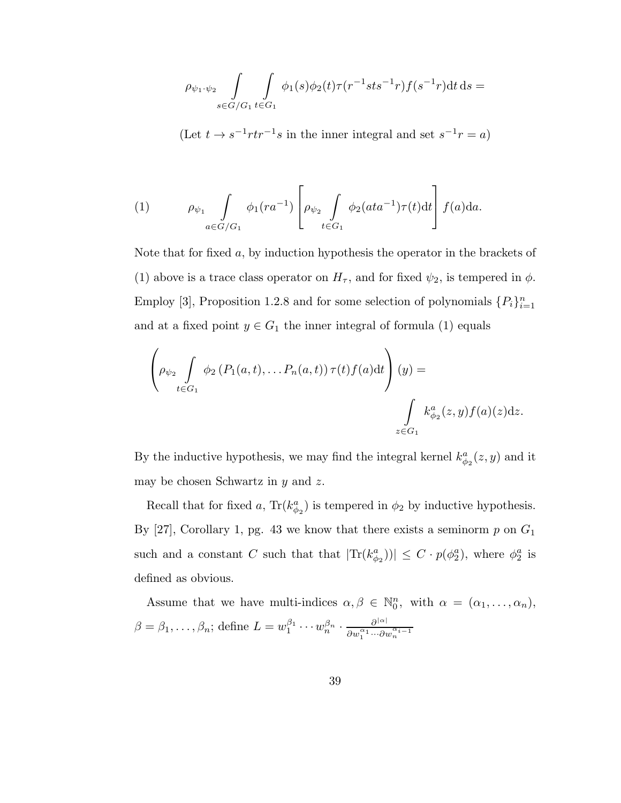$$
\rho_{\psi_1 \cdot \psi_2} \int\limits_{s \in G/G_1} \int\limits_{t \in G_1} \phi_1(s) \phi_2(t) \tau(r^{-1}sts^{-1}r) f(s^{-1}r) \mathrm{d}t \, \mathrm{d}s =
$$

(Let  $t \to s^{-1} r t r^{-1} s$  in the inner integral and set  $s^{-1} r = a$ )

(1) 
$$
\rho_{\psi_1} \int_{a \in G/G_1} \phi_1(r a^{-1}) \left[ \rho_{\psi_2} \int_{t \in G_1} \phi_2(ata^{-1}) \tau(t) dt \right] f(a) da.
$$

Note that for fixed  $a$ , by induction hypothesis the operator in the brackets of (1) above is a trace class operator on  $H_{\tau}$ , and for fixed  $\psi_2$ , is tempered in  $\phi$ . Employ [3], Proposition 1.2.8 and for some selection of polynomials  $\{P_i\}_{i=1}^n$ and at a fixed point  $y \in G_1$  the inner integral of formula (1) equals

$$
\left(\rho_{\psi_2} \int\limits_{t \in G_1} \phi_2 \left(P_1(a,t), \ldots P_n(a,t)\right) \tau(t) f(a) dt\right)(y) =
$$
\n
$$
\int\limits_{z \in G_1} k_{\phi_2}^a(z,y) f(a)(z) dz.
$$

By the inductive hypothesis, we may find the integral kernel  $k_{\phi_2}^a(z, y)$  and it may be chosen Schwartz in  $y$  and  $z$ .

Recall that for fixed a,  $\text{Tr}(k_{\phi_2}^a)$  is tempered in  $\phi_2$  by inductive hypothesis. By  $[27]$ , Corollary 1, pg. 43 we know that there exists a seminorm p on  $G_1$ such and a constant C such that  $|\text{Tr}(k_{\phi_2}^a)| \leq C \cdot p(\phi_2^a)$ , where  $\phi_2^a$  is defined as obvious.

Assume that we have multi-indices  $\alpha, \beta \in \mathbb{N}_0^n$ , with  $\alpha = (\alpha_1, \ldots, \alpha_n)$ ,  $\beta = \beta_1, \ldots, \beta_n$ ; define  $L = w_1^{\beta_1}$  $\frac{\beta_1}{1} \cdots w_n^{\beta_n} \cdot \frac{\partial^{|\alpha|}}{\partial w_1^{\alpha_1} \cdots \partial n_n}$  $\partial w_{1}^{\alpha_{1}}\!\cdots\!\partial w_{n}^{\alpha_{i-1}}$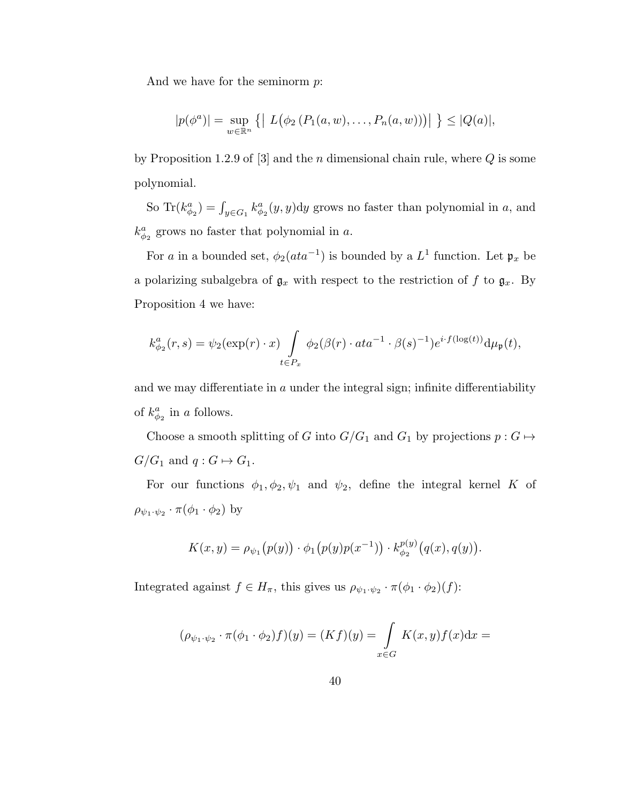And we have for the seminorm p:

$$
|p(\phi^a)| = \sup_{w \in \mathbb{R}^n} \{ | L(\phi_2(P_1(a, w), \dots, P_n(a, w))) | \} \leq |Q(a)|,
$$

by Proposition 1.2.9 of  $[3]$  and the *n* dimensional chain rule, where  $Q$  is some polynomial.

So  $\text{Tr}(k_{\phi_2}^a) = \int_{y \in G_1} k_{\phi_2}^a(y, y) dy$  grows no faster than polynomial in a, and  $k_{\phi_2}^a$  grows no faster that polynomial in a.

For a in a bounded set,  $\phi_2(ata^{-1})$  is bounded by a  $L^1$  function. Let  $\mathfrak{p}_x$  be a polarizing subalgebra of  $\mathfrak{g}_x$  with respect to the restriction of f to  $\mathfrak{g}_x$ . By Proposition 4 we have:

$$
k_{\phi_2}^a(r,s)=\psi_2(\exp(r)\cdot x)\int\limits_{t\in P_x}\phi_2(\beta(r)\cdot at a^{-1}\cdot \beta(s)^{-1})e^{i\cdot f(\log(t))}\mathrm{d}\mu_{\mathfrak{p}}(t),
$$

and we may differentiate in  $a$  under the integral sign; infinite differentiability of  $k_{\phi_2}^a$  in a follows.

Choose a smooth splitting of G into  $G/G_1$  and  $G_1$  by projections  $p : G \mapsto$  $G/G_1$  and  $q: G \mapsto G_1$ .

For our functions  $\phi_1, \phi_2, \psi_1$  and  $\psi_2$ , define the integral kernel K of  $\rho_{\psi_1\cdot\psi_2}\cdot \pi(\phi_1\cdot\phi_2)$  by

$$
K(x,y) = \rho_{\psi_1}(p(y)) \cdot \phi_1(p(y)p(x^{-1})) \cdot k_{\phi_2}^{p(y)}(q(x), q(y)).
$$

Integrated against  $f \in H_{\pi}$ , this gives us  $\rho_{\psi_1 \cdot \psi_2} \cdot \pi(\phi_1 \cdot \phi_2)(f)$ :

$$
(\rho_{\psi_1\cdot\psi_2}\cdot\pi(\phi_1\cdot\phi_2)f)(y)=(Kf)(y)=\int\limits_{x\in G}K(x,y)f(x)\mathrm{d}x=
$$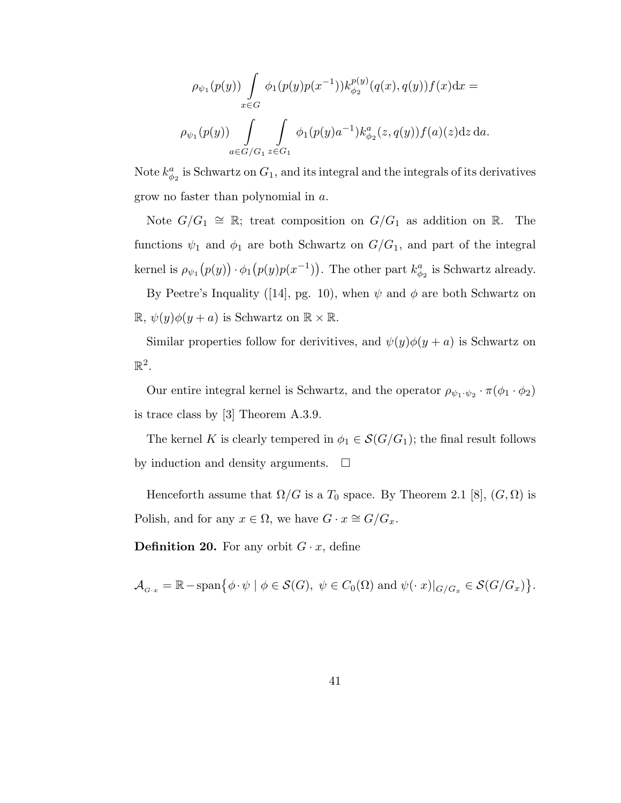$$
\rho_{\psi_1}(p(y)) \int_{x \in G} \phi_1(p(y)p(x^{-1})) k_{\phi_2}^{p(y)}(q(x), q(y)) f(x) dx =
$$
  

$$
\rho_{\psi_1}(p(y)) \int_{a \in G/G_1} \int_{z \in G_1} \phi_1(p(y)a^{-1}) k_{\phi_2}^a(z, q(y)) f(a)(z) dz da.
$$

Note  $k_{\phi_2}^a$  is Schwartz on  $G_1$ , and its integral and the integrals of its derivatives grow no faster than polynomial in a.

Note  $G/G_1 \cong \mathbb{R}$ ; treat composition on  $G/G_1$  as addition on  $\mathbb{R}$ . The functions  $\psi_1$  and  $\phi_1$  are both Schwartz on  $G/G_1$ , and part of the integral kernel is  $\rho_{\psi_1}(p(y)) \cdot \phi_1(p(y)p(x^{-1}))$ . The other part  $k_{\phi_2}^a$  is Schwartz already.

By Peetre's Inquality ([14], pg. 10), when  $\psi$  and  $\phi$  are both Schwartz on  $\mathbb{R}, \psi(y)\phi(y+a)$  is Schwartz on  $\mathbb{R} \times \mathbb{R}$ .

Similar properties follow for derivitives, and  $\psi(y)\phi(y+a)$  is Schwartz on  $\mathbb{R}^2$ .

Our entire integral kernel is Schwartz, and the operator  $\rho_{\psi_1 \cdot \psi_2} \cdot \pi(\phi_1 \cdot \phi_2)$ is trace class by [3] Theorem A.3.9.

The kernel K is clearly tempered in  $\phi_1 \in \mathcal{S}(G/G_1)$ ; the final result follows by induction and density arguments.  $\square$ 

Henceforth assume that  $\Omega/G$  is a  $T_0$  space. By Theorem 2.1 [8],  $(G,\Omega)$  is Polish, and for any  $x \in \Omega$ , we have  $G \cdot x \cong G/G_x$ .

**Definition 20.** For any orbit  $G \cdot x$ , define

$$
\mathcal{A}_{G\cdot x} = \mathbb{R} - \text{span}\{\phi \cdot \psi \mid \phi \in \mathcal{S}(G), \ \psi \in C_0(\Omega) \text{ and } \psi(\cdot|x)|_{G/G_x} \in \mathcal{S}(G/G_x)\}.
$$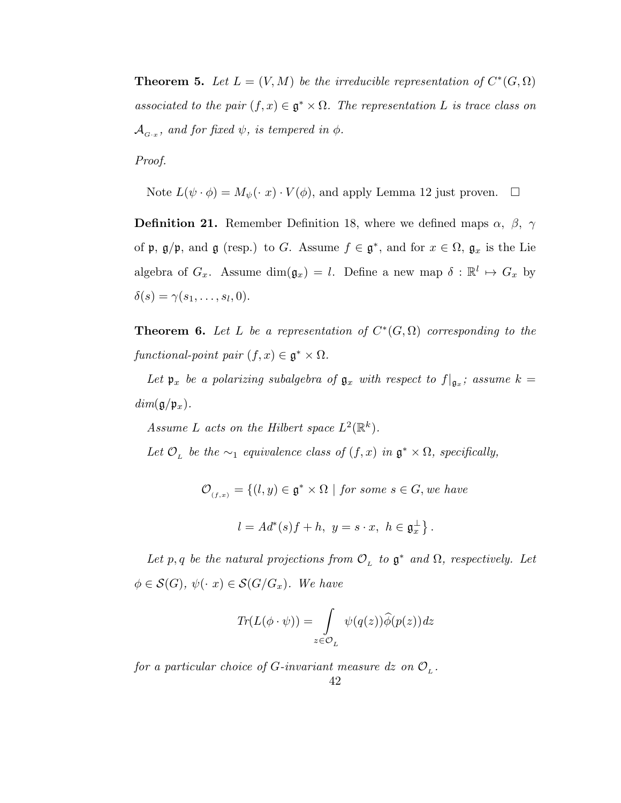**Theorem 5.** Let  $L = (V, M)$  be the irreducible representation of  $C^*(G, \Omega)$ associated to the pair  $(f, x) \in \mathfrak{g}^* \times \Omega$ . The representation L is trace class on  $\mathcal{A}_{_{G\text{-}x}},\text{ and for fixed }\psi,\text{ is tempered in }\phi.$ 

Proof.

Note  $L(\psi \cdot \phi) = M_{\psi}(\cdot x) \cdot V(\phi)$ , and apply Lemma 12 just proven.  $\Box$ 

**Definition 21.** Remember Definition 18, where we defined maps  $\alpha$ ,  $\beta$ ,  $\gamma$ of  $\mathfrak{p}, \mathfrak{g}/\mathfrak{p}$ , and  $\mathfrak{g}$  (resp.) to G. Assume  $f \in \mathfrak{g}^*$ , and for  $x \in \Omega$ ,  $\mathfrak{g}_x$  is the Lie algebra of  $G_x$ . Assume  $\dim(\mathfrak{g}_x) = l$ . Define a new map  $\delta : \mathbb{R}^l \mapsto G_x$  by  $\delta(s) = \gamma(s_1, \ldots, s_l, 0).$ 

**Theorem 6.** Let L be a representation of  $C^*(G, \Omega)$  corresponding to the functional-point pair  $(f, x) \in \mathfrak{g}^* \times \Omega$ .

Let  $\mathfrak{p}_x$  be a polarizing subalgebra of  $\mathfrak{g}_x$  with respect to  $f|_{\mathfrak{g}_x}$ ; assume  $k =$  $dim(\mathfrak{g}/\mathfrak{p}_x).$ 

Assume L acts on the Hilbert space  $L^2(\mathbb{R}^k)$ .

Let  $\mathcal{O}_L$  be the  $\sim_1$  equivalence class of  $(f, x)$  in  $\mathfrak{g}^* \times \Omega$ , specifically,

 $\mathcal{O}_{(f,x)} = \{(l, y) \in \mathfrak{g}^* \times \Omega \mid \text{for some } s \in G, \text{we have}\}$  $l = Ad^*(s)f + h, y = s \cdot x, h \in \mathfrak{g}_x^{\perp}$ .

Let p, q be the natural projections from  $\mathcal{O}_L$  to  $\mathfrak{g}^*$  and  $\Omega$ , respectively. Let  $\phi \in \mathcal{S}(G), \ \psi(\cdot \ x) \in \mathcal{S}(G/G_x).$  We have

$$
Tr(L(\phi \cdot \psi)) = \int_{z \in \mathcal{O}_L} \psi(q(z)) \widehat{\phi}(p(z)) dz
$$

for a particular choice of G-invariant measure dz on  $\mathcal{O}_L$ .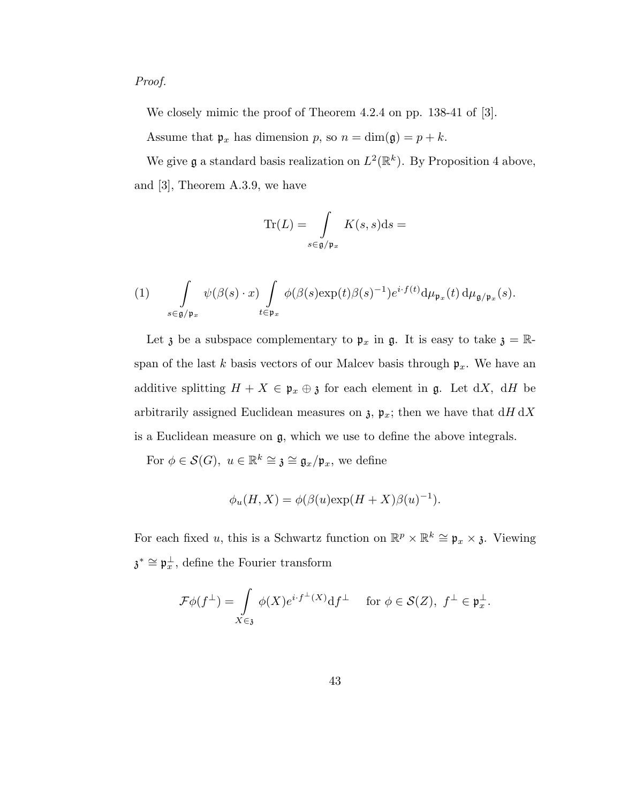## Proof.

We closely mimic the proof of Theorem 4.2.4 on pp. 138-41 of [3].

Assume that  $\mathfrak{p}_x$  has dimension p, so  $n = \dim(\mathfrak{g}) = p + k$ .

We give **g** a standard basis realization on  $L^2(\mathbb{R}^k)$ . By Proposition 4 above, and [3], Theorem A.3.9, we have

$$
\operatorname{Tr}(L) = \int\limits_{s \in \mathfrak{g/p}_x} K(s, s) \mathrm{d}s =
$$

(1) 
$$
\int_{s\in\mathfrak{g}/\mathfrak{p}_x} \psi(\beta(s)\cdot x) \int_{t\in\mathfrak{p}_x} \phi(\beta(s)\exp(t)\beta(s)^{-1})e^{i\cdot f(t)}d\mu_{\mathfrak{p}_x}(t) d\mu_{\mathfrak{g}/\mathfrak{p}_x}(s).
$$

Let  $\mathfrak z$  be a subspace complementary to  $\mathfrak p_x$  in  $\mathfrak g$ . It is easy to take  $\mathfrak z = \mathbb R$ span of the last k basis vectors of our Malcev basis through  $\mathfrak{p}_x$ . We have an additive splitting  $H + X \in \mathfrak{p}_x \oplus \mathfrak{z}$  for each element in  $\mathfrak{g}$ . Let dX, dH be arbitrarily assigned Euclidean measures on  $\mathfrak{z}, \mathfrak{p}_x$ ; then we have that  $dH dX$ is a Euclidean measure on g, which we use to define the above integrals.

For  $\phi \in \mathcal{S}(G)$ ,  $u \in \mathbb{R}^k \cong \mathfrak{z} \cong \mathfrak{g}_x/\mathfrak{p}_x$ , we define

$$
\phi_u(H, X) = \phi(\beta(u) \exp(H + X)\beta(u)^{-1}).
$$

For each fixed u, this is a Schwartz function on  $\mathbb{R}^p \times \mathbb{R}^k \cong \mathfrak{p}_x \times \mathfrak{z}$ . Viewing  $\mathfrak{z}^* \cong \mathfrak{p}_x^{\perp}$ , define the Fourier transform

$$
\mathcal{F}\phi(f^{\perp}) = \int\limits_{X \in \mathfrak{z}} \phi(X)e^{i \cdot f^{\perp}(X)} \mathrm{d} f^{\perp} \quad \text{ for } \phi \in \mathcal{S}(Z), \ f^{\perp} \in \mathfrak{p}_x^{\perp}.
$$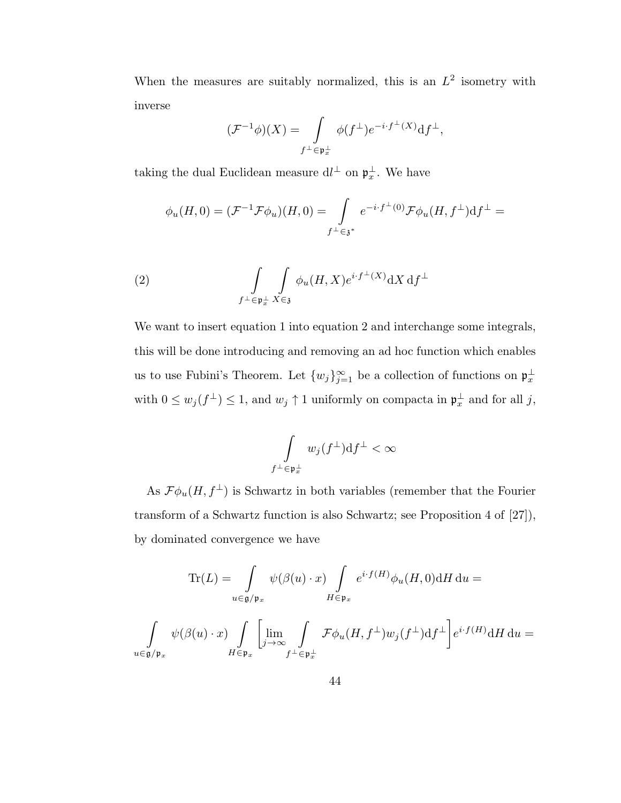When the measures are suitably normalized, this is an  $L^2$  isometry with inverse

$$
(\mathcal{F}^{-1}\phi)(X) = \int\limits_{f^{\perp} \in \mathfrak{p}_x^{\perp}} \phi(f^{\perp}) e^{-i \cdot f^{\perp}(X)} df^{\perp},
$$

taking the dual Euclidean measure  $dl^{\perp}$  on  $\mathfrak{p}_{x}^{\perp}$ . We have

$$
\phi_u(H,0) = (\mathcal{F}^{-1}\mathcal{F}\phi_u)(H,0) = \int\limits_{f^\perp \in \mathfrak{z}^*} e^{-i \cdot f^\perp(0)} \mathcal{F}\phi_u(H,f^\perp) \mathrm{d} f^\perp =
$$

(2) 
$$
\int\limits_{f^{\perp}\in\mathfrak{p}^{\perp}_x} \int\limits_{X\in\mathfrak{z}} \phi_u(H,X) e^{i\cdot f^{\perp}(X)} dX d f^{\perp}
$$

We want to insert equation 1 into equation 2 and interchange some integrals, this will be done introducing and removing an ad hoc function which enables us to use Fubini's Theorem. Let  $\{w_j\}_{j=1}^{\infty}$  be a collection of functions on  $\mathfrak{p}_x^{\perp}$ with  $0 \le w_j(f^{\perp}) \le 1$ , and  $w_j \uparrow 1$  uniformly on compacta in  $\mathfrak{p}_x^{\perp}$  and for all j,

$$
\int\limits_{f^\perp\in\frak p_x^\perp}w_j(f^\perp){\rm d} f^\perp<\infty
$$

As  $\mathcal{F} \phi_u(H, f^{\perp})$  is Schwartz in both variables (remember that the Fourier transform of a Schwartz function is also Schwartz; see Proposition 4 of [27]), by dominated convergence we have

$$
\text{Tr}(L) = \int_{u \in \mathfrak{g}/\mathfrak{p}_x} \psi(\beta(u) \cdot x) \int_{H \in \mathfrak{p}_x} e^{i \cdot f(H)} \phi_u(H, 0) dH du =
$$
  

$$
\int_{u \in \mathfrak{g}/\mathfrak{p}_x} \psi(\beta(u) \cdot x) \int_{H \in \mathfrak{p}_x} \left[ \lim_{j \to \infty} \int_{f^{\perp} \in \mathfrak{p}_x^{\perp}} \mathcal{F} \phi_u(H, f^{\perp}) w_j(f^{\perp}) df^{\perp} \right] e^{i \cdot f(H)} dH du =
$$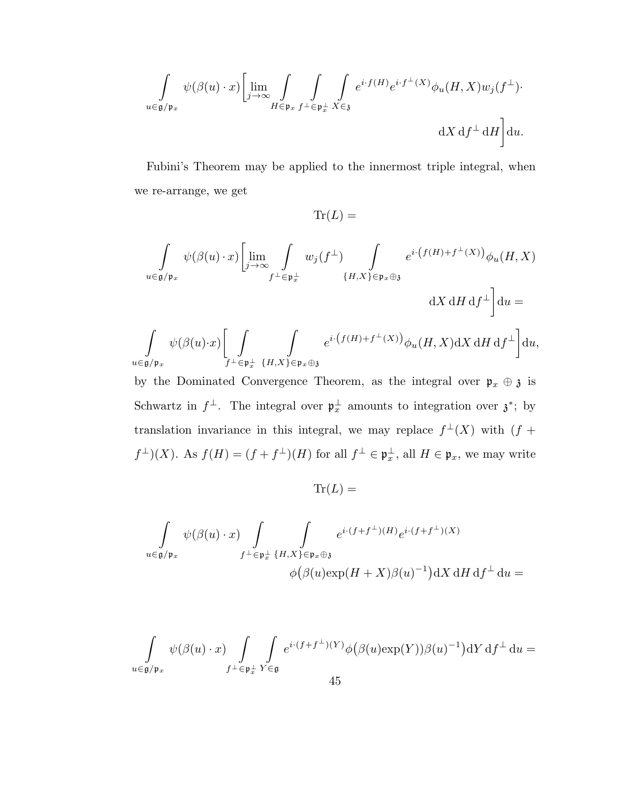$$
\int\limits_{u\in\mathfrak{g}/\mathfrak{p}_x}\psi(\beta(u)\cdot x)\bigg[\lim\limits_{j\rightarrow\infty}\int\limits_{H\in\mathfrak{p}_x}\int\limits_{f^\perp\in\mathfrak{p}_x^\perp}\int\limits_{X\in\mathfrak{z}}e^{i\cdot f(H)}e^{i\cdot f^\perp(X)}\phi_u(H,X)w_j(f^\perp)\cdot\bigg]
$$
  

$$
\mathrm{d}X\,\mathrm{d}f^\perp\,\mathrm{d}H\bigg]\mathrm{d}u.
$$

Fubini's Theorem may be applied to the innermost triple integral, when we re-arrange, we get

$$
\text{Tr}(L) =
$$
\n
$$
\int_{u \in \mathfrak{g}/\mathfrak{p}_x} \psi(\beta(u) \cdot x) \left[ \lim_{j \to \infty} \int_{f^{\perp} \in \mathfrak{p}_x^{\perp}} w_j(f^{\perp}) \int_{\{H, X\} \in \mathfrak{p}_x \oplus \mathfrak{z}} e^{i \cdot (f(H) + f^{\perp}(X))} \phi_u(H, X) \right]
$$
\n
$$
\text{d}X \, \text{d}H \, \text{d}f^{\perp} \right] \text{d}u =
$$
\n
$$
\int_{u \in \mathfrak{g}/\mathfrak{p}_x} \psi(\beta(u) \cdot x) \left[ \int_{f^{\perp} \in \mathfrak{p}_x^{\perp}} \int_{\{H, X\} \in \mathfrak{p}_x \oplus \mathfrak{z}} e^{i \cdot (f(H) + f^{\perp}(X))} \phi_u(H, X) \text{d}X \, \text{d}H \, \text{d}f^{\perp} \right] \text{d}u,
$$

by the Dominated Convergence Theorem, as the integral over  $\mathfrak{p}_x \oplus \mathfrak{z}$  is Schwartz in  $f^{\perp}$ . The integral over  $\mathfrak{p}_{x}^{\perp}$  amounts to integration over  $\mathfrak{z}^*$ ; by translation invariance in this integral, we may replace  $f^{\perp}(X)$  with  $(f +$  $f^{\perp})(X)$ . As  $f(H) = (f + f^{\perp})(H)$  for all  $f^{\perp} \in \mathfrak{p}_{x}^{\perp}$ , all  $H \in \mathfrak{p}_{x}$ , we may write

 $\text{Tr}(L) =$ 

$$
\int_{u \in \mathfrak{g}/\mathfrak{p}_x} \psi(\beta(u) \cdot x) \int_{f^{\perp} \in \mathfrak{p}_x^{\perp}} \int_{\{\mathcal{H}, X\} \in \mathfrak{p}_x \oplus \mathfrak{z}} e^{i \cdot (f + f^{\perp})(H)} e^{i \cdot (f + f^{\perp})(X)}
$$

$$
\phi(\beta(u) \exp(H + X)\beta(u)^{-1}) dX dH d f^{\perp} du =
$$

$$
\int\limits_{u\in {\mathfrak g}/{\mathfrak p}_x} \psi(\beta(u)\cdot x) \int\limits_{f^\perp\in {\mathfrak p}_x^\perp} \int\limits_{Y\in {\mathfrak g}} e^{i\cdot (f+f^\perp)(Y)} \phi\big(\beta(u)\text{exp}(Y))\beta(u)^{-1}\big) \mathrm{d} Y\,\mathrm{d} f^\perp \,\mathrm{d} u=
$$
45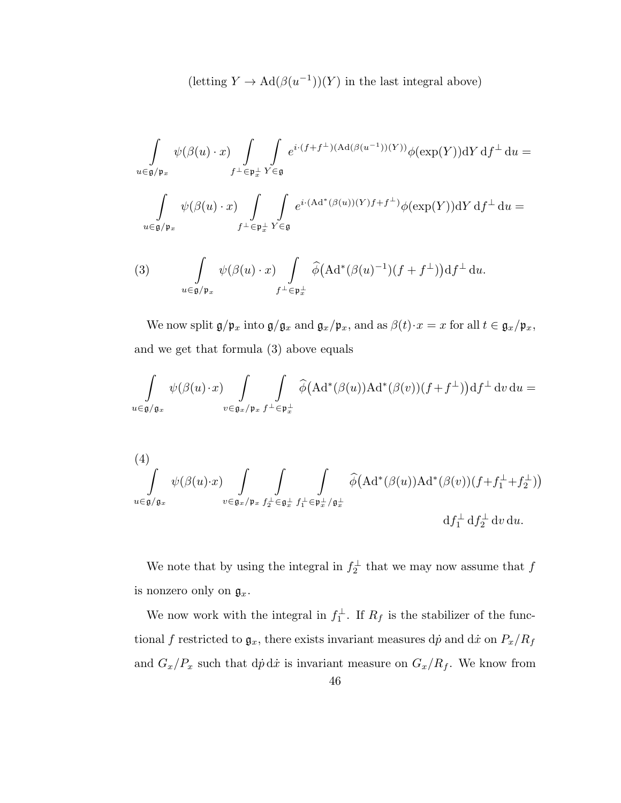$(\text{letting } Y \to \text{Ad}(\beta(u^{-1}))(Y)$  in the last integral above)

$$
\int_{u \in \mathfrak{g}/\mathfrak{p}_x} \psi(\beta(u) \cdot x) \int_{f^{\perp} \in \mathfrak{p}_x^{\perp}} \int_{Y \in \mathfrak{g}} e^{i \cdot (f + f^{\perp})(\text{Ad}(\beta(u^{-1}))(Y))} \phi(\exp(Y)) \text{d}Y \, \text{d}f^{\perp} \, \text{d}u =
$$
  

$$
\int_{u \in \mathfrak{g}/\mathfrak{p}_x} \psi(\beta(u) \cdot x) \int_{f^{\perp} \in \mathfrak{p}_x^{\perp}} \int_{Y \in \mathfrak{g}} e^{i \cdot (\text{Ad}^*(\beta(u))(Y)f + f^{\perp})} \phi(\exp(Y)) \text{d}Y \, \text{d}f^{\perp} \, \text{d}u =
$$

(3) 
$$
\int_{u \in \mathfrak{g}/\mathfrak{p}_x} \psi(\beta(u) \cdot x) \int_{f^{\perp} \in \mathfrak{p}_x^{\perp}} \widehat{\phi}(\mathrm{Ad}^*(\beta(u)^{-1})(f+f^{\perp})) \mathrm{d} f^{\perp} \mathrm{d} u.
$$

We now split  $\mathfrak{g}/\mathfrak{p}_x$  into  $\mathfrak{g}/\mathfrak{g}_x$  and  $\mathfrak{g}_x/\mathfrak{p}_x$ , and as  $\beta(t)\cdot x=x$  for all  $t\in \mathfrak{g}_x/\mathfrak{p}_x$ , and we get that formula (3) above equals

$$
\int_{u\in\mathfrak{g}/\mathfrak{g}_x}\psi(\beta(u)\cdot x)\int_{v\in\mathfrak{g}_x/\mathfrak{p}_x}\int_{f^{\perp}\in\mathfrak{p}_x^{\perp}}\widehat{\phi}(\mathrm{Ad}^*(\beta(u))\mathrm{Ad}^*(\beta(v))(f+f^{\perp}))\mathrm{d} f^{\perp}\,\mathrm{d} v\,\mathrm{d} u=
$$

(4)  
\n
$$
\int_{u \in \mathfrak{g}/\mathfrak{g}_x} \psi(\beta(u) \cdot x) \int_{v \in \mathfrak{g}_x/\mathfrak{p}_x} \int_{f_2^{\perp} \in \mathfrak{g}_x^{\perp}} \int_{f_1^{\perp} \in \mathfrak{p}_x^{\perp}/\mathfrak{g}_x^{\perp}} \widehat{\phi}(\mathrm{Ad}^*(\beta(u)) \mathrm{Ad}^*(\beta(v))(f+f_1^{\perp}+f_2^{\perp}))
$$
\n
$$
\mathrm{d} f_1^{\perp} \mathrm{d} f_2^{\perp} \mathrm{d} v \, \mathrm{d} u.
$$

We note that by using the integral in  $f_2^{\perp}$  that we may now assume that  $f$ is nonzero only on  $\mathfrak{g}_x$ .

We now work with the integral in  $f_1^{\perp}$ . If  $R_f$  is the stabilizer of the functional f restricted to  $\mathfrak{g}_x$ , there exists invariant measures dp and dx on  $P_x/P_f$ and  $G_x/P_x$  such that  $d\dot{p} d\dot{x}$  is invariant measure on  $G_x/P_f$ . We know from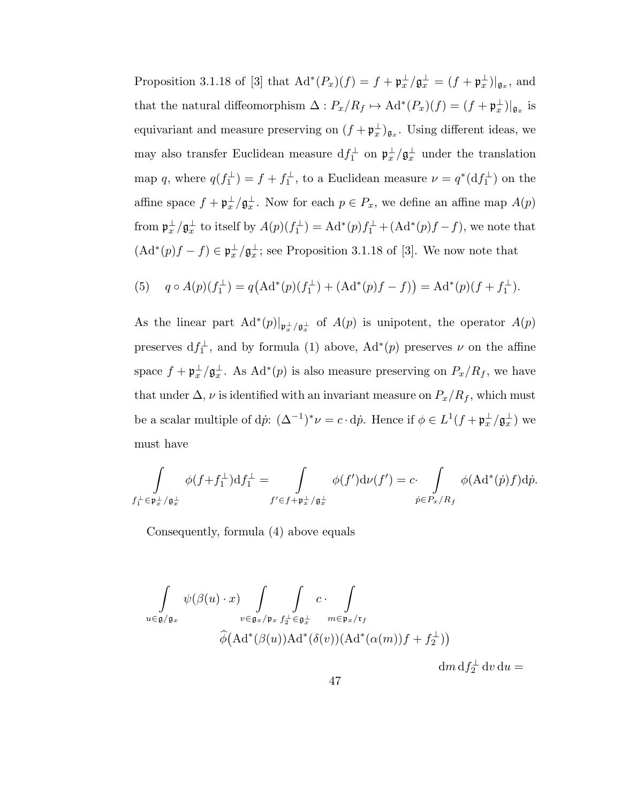Proposition 3.1.18 of [3] that  $\text{Ad}^*(P_x)(f) = f + \mathfrak{p}_x^{\perp}/\mathfrak{g}_x^{\perp} = (f + \mathfrak{p}_x^{\perp})|_{\mathfrak{g}_x}$ , and that the natural diffeomorphism  $\Delta: P_x/R_f \mapsto \mathrm{Ad}^*(P_x)(f) = (f + \mathfrak{p}_x^{\perp})|_{\mathfrak{g}_x}$  is equivariant and measure preserving on  $(f + \mathfrak{p}_x^{\perp})_{\mathfrak{g}_x}$ . Using different ideas, we may also transfer Euclidean measure  $df_1^{\perp}$  on  $\mathfrak{p}_x^{\perp}/\mathfrak{g}_x^{\perp}$  under the translation map q, where  $q(f_1^{\perp}) = f + f_1^{\perp}$ , to a Euclidean measure  $\nu = q^*(df_1^{\perp})$  on the affine space  $f + \mathfrak{p}_{x}^{\perp}/\mathfrak{g}_{x}^{\perp}$ . Now for each  $p \in P_{x}$ , we define an affine map  $A(p)$ from  $\mathfrak{p}_{x}^{\perp}/\mathfrak{g}_{x}^{\perp}$  to itself by  $A(p)(f_{1}^{\perp}) = \text{Ad}^{*}(p)f_{1}^{\perp} + (\text{Ad}^{*}(p)f - f)$ , we note that  $(\mathrm{Ad}^*(p)f - f) \in \mathfrak{p}_x^{\perp}/\mathfrak{g}_x^{\perp}$ ; see Proposition 3.1.18 of [3]. We now note that

(5) 
$$
q \circ A(p)(f_1^{\perp}) = q(\text{Ad}^*(p)(f_1^{\perp}) + (\text{Ad}^*(p)f - f)) = \text{Ad}^*(p)(f + f_1^{\perp}).
$$

As the linear part  $\text{Ad}^*(p)|_{\mathfrak{p}^{\perp}_x/\mathfrak{g}^{\perp}_x}$  of  $A(p)$  is unipotent, the operator  $A(p)$ preserves  $df_1^{\perp}$ , and by formula (1) above,  $Ad^*(p)$  preserves  $\nu$  on the affine space  $f + \mathfrak{p}_{x}^{\perp}/\mathfrak{g}_{x}^{\perp}$ . As  $\text{Ad}^{*}(p)$  is also measure preserving on  $P_{x}/R_{f}$ , we have that under  $\Delta$ ,  $\nu$  is identified with an invariant measure on  $P_x/P_f$ , which must be a scalar multiple of d $\dot{p}$ :  $(\Delta^{-1})^* \nu = c \cdot d\dot{p}$ . Hence if  $\phi \in L^1(f + \mathfrak{p}_x^{\perp}/\mathfrak{g}_x^{\perp})$  we must have

$$
\int_{f_1^{\perp} \in \mathfrak{p}_x^{\perp}/\mathfrak{g}_x^{\perp}} \phi(f+f_1^{\perp}) \mathrm{d} f_1^{\perp} = \int_{f' \in f + \mathfrak{p}_x^{\perp}/\mathfrak{g}_x^{\perp}} \phi(f') \mathrm{d} \nu(f') = c \cdot \int_{\dot{p} \in P_x / R_f} \phi(\mathrm{Ad}^*(\dot{p})f) \mathrm{d} \dot{p}.
$$

Consequently, formula (4) above equals

$$
\int_{u \in \mathfrak{g}/\mathfrak{g}_x} \psi(\beta(u) \cdot x) \int_{v \in \mathfrak{g}_x/\mathfrak{p}_x} \int_{f_2^{\perp} \in \mathfrak{g}_x^{\perp}} c \cdot \int_{w \in \mathfrak{p}_x/\mathfrak{r}_f} \exp(x) \hat{\phi}(\text{Ad}^*(\beta(u)) \text{Ad}^*(\delta(v)) (\text{Ad}^*(\alpha(m)) f + f_2^{\perp}))
$$

 $dm \, df_2^{\perp} dv du =$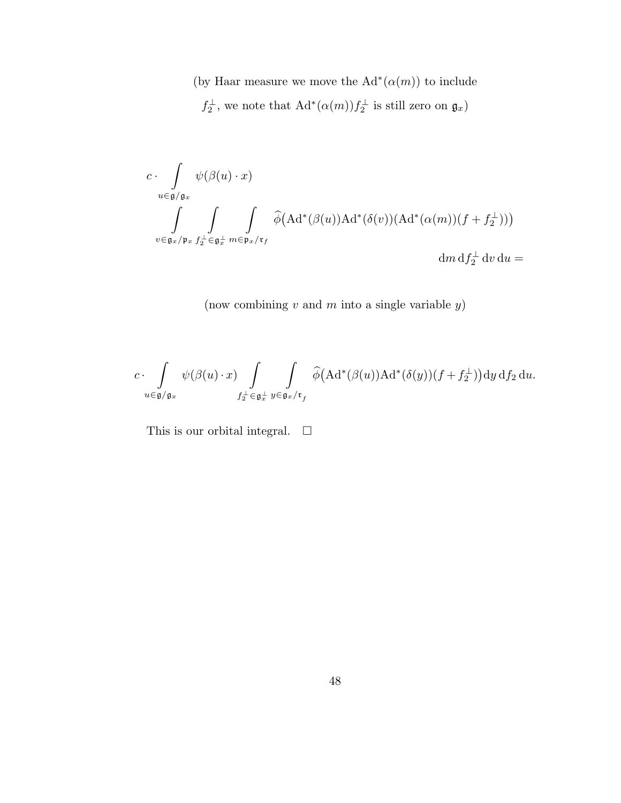(by Haar measure we move the  $\mathrm{Ad}^*(\alpha(m))$  to include  $f_2^{\perp}$ , we note that  $\text{Ad}^*(\alpha(m))f_2^{\perp}$  is still zero on  $\mathfrak{g}_x$ )

$$
c \cdot \int_{u \in \mathfrak{g}/\mathfrak{g}_x} \psi(\beta(u) \cdot x)
$$
  

$$
\int_{v \in \mathfrak{g}_x/\mathfrak{p}_x} \int_{f_2^{\perp} \in \mathfrak{g}_x^{\perp}} \int_{w \in \mathfrak{p}_x/\mathfrak{r}_f} \widehat{\phi}(\text{Ad}^*(\beta(u))\text{Ad}^*(\delta(v))(\text{Ad}^*(\alpha(m))(f + f_2^{\perp})))
$$

 $\mathrm{d}m\,\mathrm{d}f_{2}^{\perp}\,\mathrm{d}v\,\mathrm{d}u =$ 

(now combining  $v$  and  $m$  into a single variable  $y$ )

$$
c\cdot \int\limits_{u\in \mathfrak{g}/\mathfrak{g}_x} \psi(\beta(u)\cdot x) \int\limits_{f_2^\perp\in \mathfrak{g}_x^\perp} \int\limits_{y\in \mathfrak{g}_x/\mathfrak{r}_f} \widehat{\phi}\bigl(\text{Ad}^*(\beta(u))\text{Ad}^*(\delta(y))(f+f_2^\perp)\bigr) \text{d} y\, \text{d} f_2\, \text{d} u.
$$

This is our orbital integral.  $\quad \Box$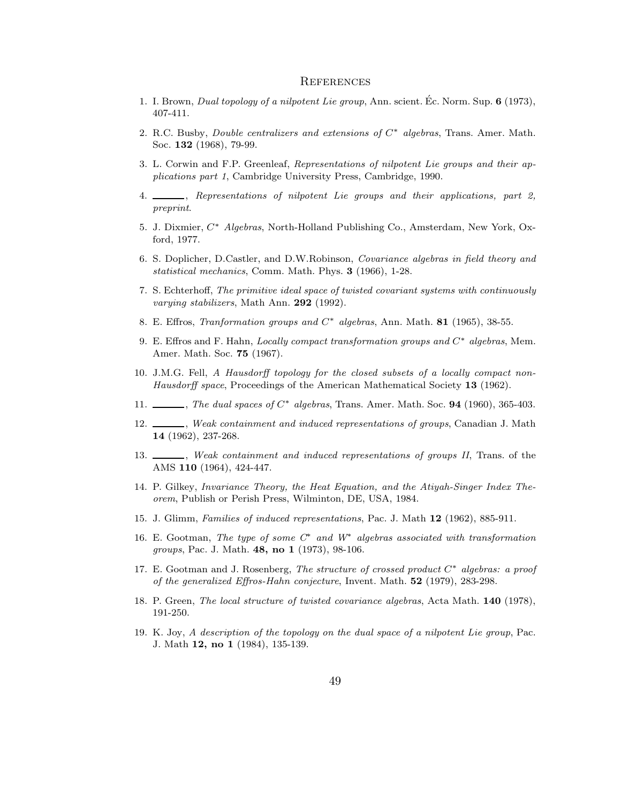#### **REFERENCES**

- 1. I. Brown, Dual topology of a nilpotent Lie group, Ann. scient. Ec. Norm. Sup.  $6$  (1973), 407-411.
- 2. R.C. Busby, Double centralizers and extensions of C<sup>∗</sup> algebras, Trans. Amer. Math. Soc. 132 (1968), 79-99.
- 3. L. Corwin and F.P. Greenleaf, Representations of nilpotent Lie groups and their applications part 1, Cambridge University Press, Cambridge, 1990.
- 4.  $\frac{1}{2}$ , Representations of nilpotent Lie groups and their applications, part 2, preprint.
- 5. J. Dixmier, C<sup>∗</sup> Algebras, North-Holland Publishing Co., Amsterdam, New York, Oxford, 1977.
- 6. S. Doplicher, D.Castler, and D.W.Robinson, Covariance algebras in field theory and statistical mechanics, Comm. Math. Phys. 3 (1966), 1-28.
- 7. S. Echterhoff, The primitive ideal space of twisted covariant systems with continuously varying stabilizers, Math Ann. 292 (1992).
- 8. E. Effros, Tranformation groups and  $C^*$  algebras, Ann. Math. 81 (1965), 38-55.
- 9. E. Effros and F. Hahn, Locally compact transformation groups and C<sup>∗</sup> algebras, Mem. Amer. Math. Soc. 75 (1967).
- 10. J.M.G. Fell, A Hausdorff topology for the closed subsets of a locally compact non-Hausdorff space, Proceedings of the American Mathematical Society 13 (1962).
- 11.  $\_\_\_\_\$ , The dual spaces of  $C^*$  algebras, Trans. Amer. Math. Soc. **94** (1960), 365-403.
- 12. Weak containment and induced representations of groups, Canadian J. Math 14 (1962), 237-268.
- 13.  $\_\_\_\_\_\$ n, Weak containment and induced representations of groups II, Trans. of the AMS 110 (1964), 424-447.
- 14. P. Gilkey, Invariance Theory, the Heat Equation, and the Atiyah-Singer Index Theorem, Publish or Perish Press, Wilminton, DE, USA, 1984.
- 15. J. Glimm, Families of induced representations, Pac. J. Math 12 (1962), 885-911.
- 16. E. Gootman, The type of some  $C^*$  and  $W^*$  algebras associated with transformation groups, Pac. J. Math. 48, no 1 (1973), 98-106.
- 17. E. Gootman and J. Rosenberg, The structure of crossed product  $C^*$  algebras: a proof of the generalized Effros-Hahn conjecture, Invent. Math. 52 (1979), 283-298.
- 18. P. Green, The local structure of twisted covariance algebras, Acta Math. 140 (1978), 191-250.
- 19. K. Joy, A description of the topology on the dual space of a nilpotent Lie group, Pac. J. Math 12, no 1 (1984), 135-139.